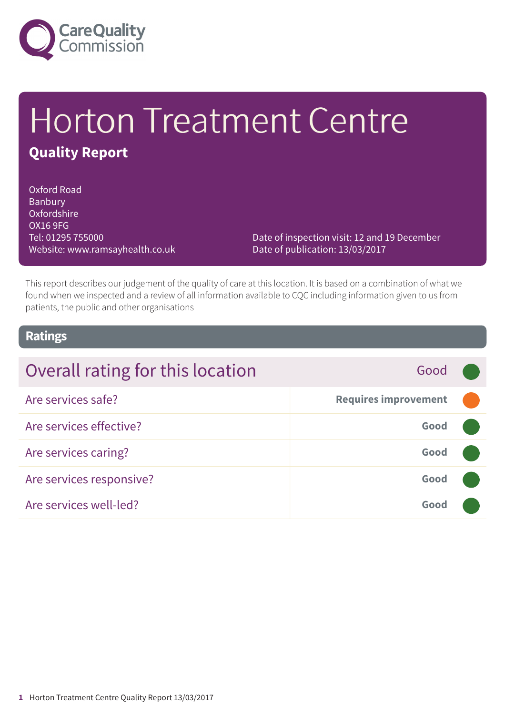

# Horton Treatment Centre **Quality Report**

Oxford Road Banbury Oxfordshire OX16 9FG Tel: 01295 755000 Website: www.ramsayhealth.co.uk

Date of inspection visit: 12 and 19 December Date of publication: 13/03/2017

This report describes our judgement of the quality of care at this location. It is based on a combination of what we found when we inspected and a review of all information available to CQC including information given to us from patients, the public and other organisations

### **Ratings**

| Overall rating for this location | Good                        |  |
|----------------------------------|-----------------------------|--|
| Are services safe?               | <b>Requires improvement</b> |  |
| Are services effective?          | Good                        |  |
| Are services caring?             | Good                        |  |
| Are services responsive?         | Good                        |  |
| Are services well-led?           | Good                        |  |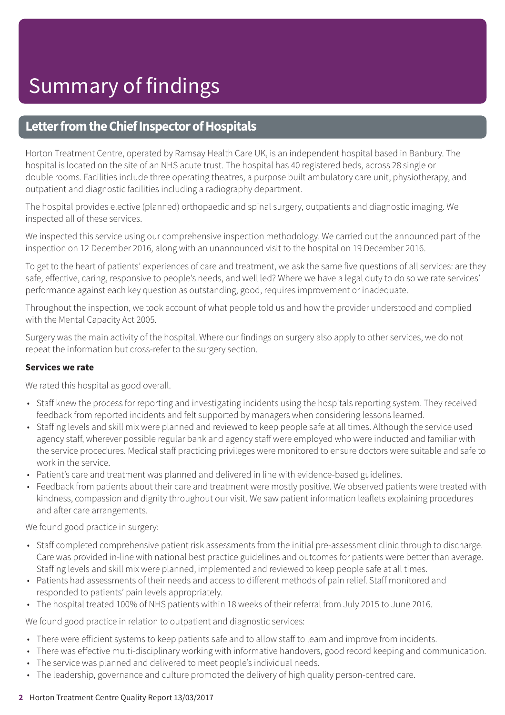### **Letter from the Chief Inspector of Hospitals**

Horton Treatment Centre, operated by Ramsay Health Care UK, is an independent hospital based in Banbury. The hospital is located on the site of an NHS acute trust. The hospital has 40 registered beds, across 28 single or double rooms. Facilities include three operating theatres, a purpose built ambulatory care unit, physiotherapy, and outpatient and diagnostic facilities including a radiography department.

The hospital provides elective (planned) orthopaedic and spinal surgery, outpatients and diagnostic imaging. We inspected all of these services.

We inspected this service using our comprehensive inspection methodology. We carried out the announced part of the inspection on 12 December 2016, along with an unannounced visit to the hospital on 19 December 2016.

To get to the heart of patients' experiences of care and treatment, we ask the same five questions of all services: are they safe, effective, caring, responsive to people's needs, and well led? Where we have a legal duty to do so we rate services' performance against each key question as outstanding, good, requires improvement or inadequate.

Throughout the inspection, we took account of what people told us and how the provider understood and complied with the Mental Capacity Act 2005.

Surgery was the main activity of the hospital. Where our findings on surgery also apply to other services, we do not repeat the information but cross-refer to the surgery section.

#### **Services we rate**

We rated this hospital as good overall.

- Staff knew the process for reporting and investigating incidents using the hospitals reporting system. They received feedback from reported incidents and felt supported by managers when considering lessons learned.
- Staffing levels and skill mix were planned and reviewed to keep people safe at all times. Although the service used agency staff, wherever possible regular bank and agency staff were employed who were inducted and familiar with the service procedures. Medical staff practicing privileges were monitored to ensure doctors were suitable and safe to work in the service.
- Patient's care and treatment was planned and delivered in line with evidence-based guidelines.
- Feedback from patients about their care and treatment were mostly positive. We observed patients were treated with kindness, compassion and dignity throughout our visit. We saw patient information leaflets explaining procedures and after care arrangements.

We found good practice in surgery:

- Staff completed comprehensive patient risk assessments from the initial pre-assessment clinic through to discharge. Care was provided in-line with national best practice guidelines and outcomes for patients were better than average. Staffing levels and skill mix were planned, implemented and reviewed to keep people safe at all times.
- Patients had assessments of their needs and access to different methods of pain relief. Staff monitored and responded to patients' pain levels appropriately.
- The hospital treated 100% of NHS patients within 18 weeks of their referral from July 2015 to June 2016.

We found good practice in relation to outpatient and diagnostic services:

- There were efficient systems to keep patients safe and to allow staff to learn and improve from incidents.
- There was effective multi-disciplinary working with informative handovers, good record keeping and communication.
- The service was planned and delivered to meet people's individual needs.
- The leadership, governance and culture promoted the delivery of high quality person-centred care.

#### **2** Horton Treatment Centre Quality Report 13/03/2017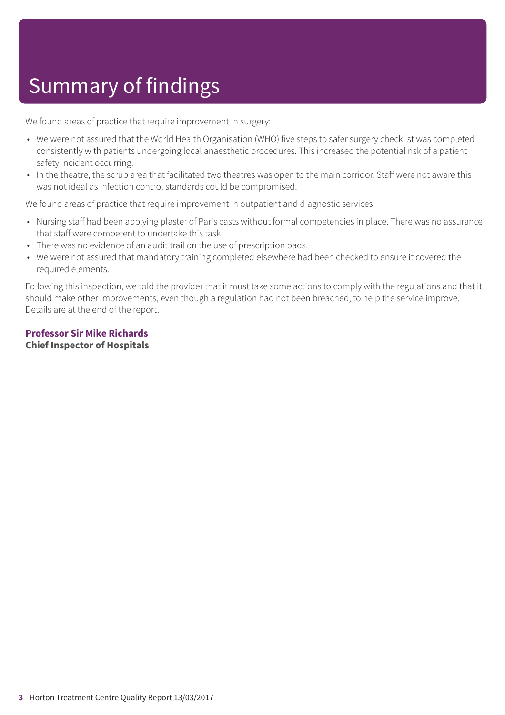# Summary of findings

We found areas of practice that require improvement in surgery:

- We were not assured that the World Health Organisation (WHO) five steps to safer surgery checklist was completed consistently with patients undergoing local anaesthetic procedures. This increased the potential risk of a patient safety incident occurring.
- In the theatre, the scrub area that facilitated two theatres was open to the main corridor. Staff were not aware this was not ideal as infection control standards could be compromised.

We found areas of practice that require improvement in outpatient and diagnostic services:

- Nursing staff had been applying plaster of Paris casts without formal competencies in place. There was no assurance that staff were competent to undertake this task.
- There was no evidence of an audit trail on the use of prescription pads.
- We were not assured that mandatory training completed elsewhere had been checked to ensure it covered the required elements.

Following this inspection, we told the provider that it must take some actions to comply with the regulations and that it should make other improvements, even though a regulation had not been breached, to help the service improve. Details are at the end of the report.

### **Professor Sir Mike Richards Chief Inspector of Hospitals**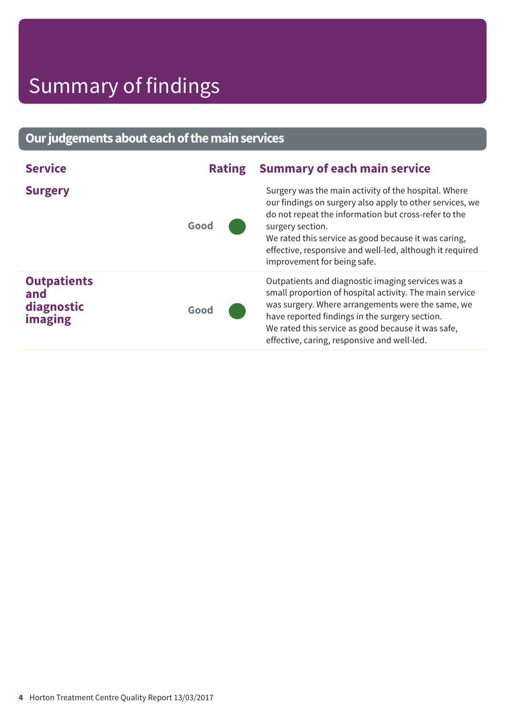# Summary of findings

### **Ourjudgementsabouteachofthemainservices**

| <b>Service</b>                                     | <b>Rating</b> | <b>Summary of each main service</b>                                                                                                                                                                                                                                                                                                             |
|----------------------------------------------------|---------------|-------------------------------------------------------------------------------------------------------------------------------------------------------------------------------------------------------------------------------------------------------------------------------------------------------------------------------------------------|
| <b>Surgery</b>                                     | Good          | Surgery was the main activity of the hospital. Where<br>our findings on surgery also apply to other services, we<br>do not repeat the information but cross-refer to the<br>surgery section.<br>We rated this service as good because it was caring,<br>effective, responsive and well-led, although it required<br>improvement for being safe. |
| <b>Outpatients</b><br>and<br>diagnostic<br>imaging | Good          | Outpatients and diagnostic imaging services was a<br>small proportion of hospital activity. The main service<br>was surgery. Where arrangements were the same, we<br>have reported findings in the surgery section.<br>We rated this service as good because it was safe,<br>effective, caring, responsive and well-led.                        |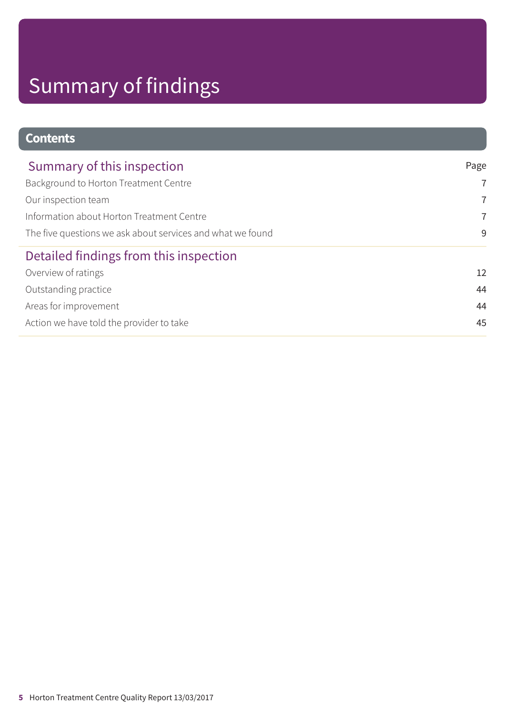# Summary of findings

| <b>Contents</b>                                            |                |
|------------------------------------------------------------|----------------|
| Summary of this inspection                                 | Page           |
| Background to Horton Treatment Centre                      | $\overline{7}$ |
| Our inspection team                                        | $\overline{7}$ |
| Information about Horton Treatment Centre                  | $\overline{7}$ |
| The five questions we ask about services and what we found | 9              |
| Detailed findings from this inspection                     |                |
| Overview of ratings                                        | 12             |
| Outstanding practice                                       | 44             |
| Areas for improvement                                      | 44             |
| Action we have told the provider to take                   | 45             |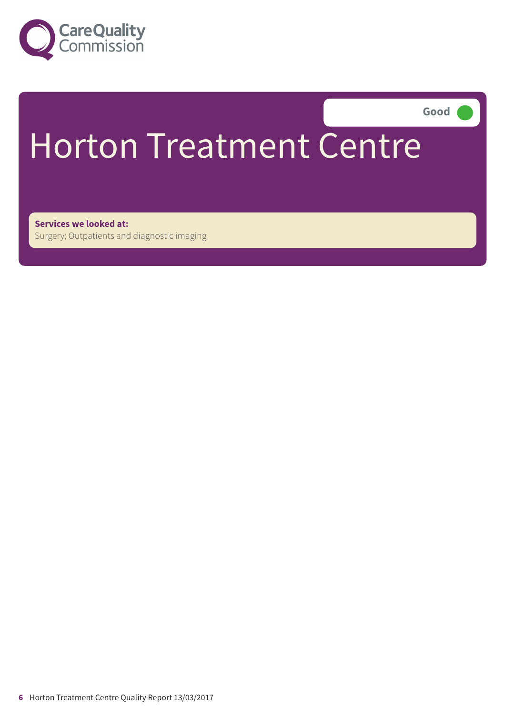

**Good –––**

# Horton Treatment Centre

**Services we looked at:** Surgery; Outpatients and diagnostic imaging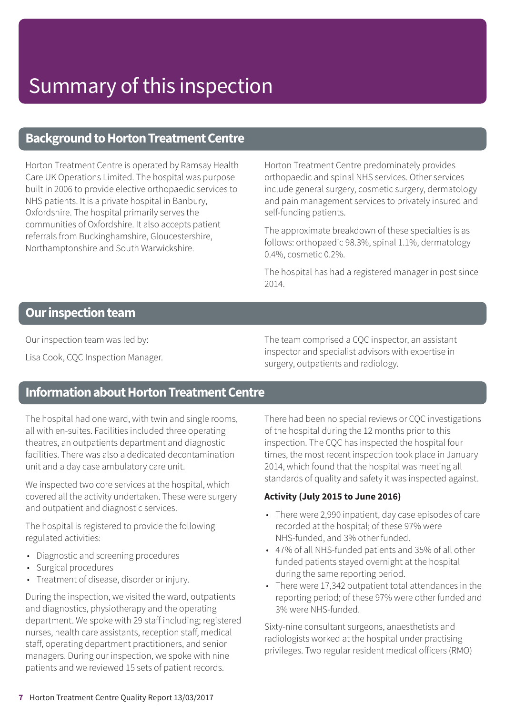### **Background to Horton Treatment Centre**

Horton Treatment Centre is operated by Ramsay Health Care UK Operations Limited. The hospital was purpose built in 2006 to provide elective orthopaedic services to NHS patients. It is a private hospital in Banbury, Oxfordshire. The hospital primarily serves the communities of Oxfordshire. It also accepts patient referrals from Buckinghamshire, Gloucestershire, Northamptonshire and South Warwickshire.

Horton Treatment Centre predominately provides orthopaedic and spinal NHS services. Other services include general surgery, cosmetic surgery, dermatology and pain management services to privately insured and self-funding patients.

The approximate breakdown of these specialties is as follows: orthopaedic 98.3%, spinal 1.1%, dermatology 0.4%, cosmetic 0.2%.

The hospital has had a registered manager in post since 2014.

### **Our inspection team**

Our inspection team was led by:

Lisa Cook, CQC Inspection Manager.

The team comprised a CQC inspector, an assistant inspector and specialist advisors with expertise in surgery, outpatients and radiology.

### **Information about Horton Treatment Centre**

The hospital had one ward, with twin and single rooms, all with en-suites. Facilities included three operating theatres, an outpatients department and diagnostic facilities. There was also a dedicated decontamination unit and a day case ambulatory care unit.

We inspected two core services at the hospital, which covered all the activity undertaken. These were surgery and outpatient and diagnostic services.

The hospital is registered to provide the following regulated activities:

- Diagnostic and screening procedures
- Surgical procedures
- Treatment of disease, disorder or injury.

During the inspection, we visited the ward, outpatients and diagnostics, physiotherapy and the operating department. We spoke with 29 staff including; registered nurses, health care assistants, reception staff, medical staff, operating department practitioners, and senior managers. During our inspection, we spoke with nine patients and we reviewed 15 sets of patient records.

There had been no special reviews or CQC investigations of the hospital during the 12 months prior to this inspection. The CQC has inspected the hospital four times, the most recent inspection took place in January 2014, which found that the hospital was meeting all standards of quality and safety it was inspected against.

### **Activity (July 2015 to June 2016)**

- There were 2,990 inpatient, day case episodes of care recorded at the hospital; of these 97% were NHS-funded, and 3% other funded.
- 47% of all NHS-funded patients and 35% of all other funded patients stayed overnight at the hospital during the same reporting period.
- There were 17,342 outpatient total attendances in the reporting period; of these 97% were other funded and 3% were NHS-funded.

Sixty-nine consultant surgeons, anaesthetists and radiologists worked at the hospital under practising privileges. Two regular resident medical officers (RMO)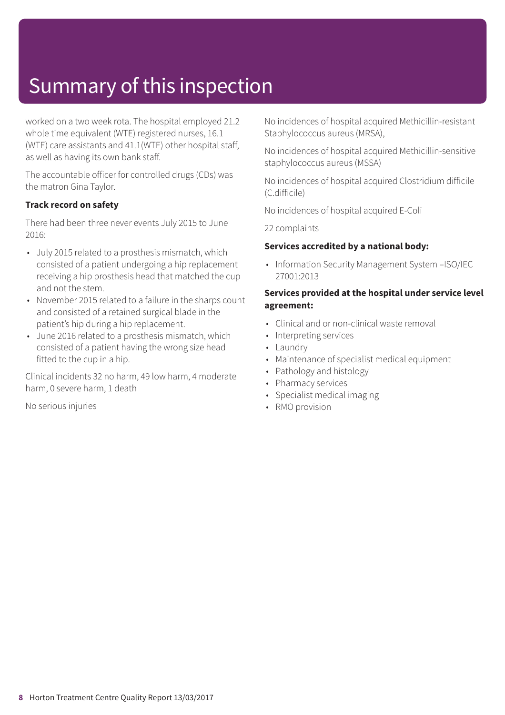worked on a two week rota. The hospital employed 21.2 whole time equivalent (WTE) registered nurses, 16.1 (WTE) care assistants and 41.1(WTE) other hospital staff, as well as having its own bank staff.

The accountable officer for controlled drugs (CDs) was the matron Gina Taylor.

### **Track record on safety**

There had been three never events July 2015 to June 2016:

- July 2015 related to a prosthesis mismatch, which consisted of a patient undergoing a hip replacement receiving a hip prosthesis head that matched the cup and not the stem.
- November 2015 related to a failure in the sharps count and consisted of a retained surgical blade in the patient's hip during a hip replacement.
- June 2016 related to a prosthesis mismatch, which consisted of a patient having the wrong size head fitted to the cup in a hip.

Clinical incidents 32 no harm, 49 low harm, 4 moderate harm, 0 severe harm, 1 death

No serious injuries

No incidences of hospital acquired Methicillin-resistant Staphylococcus aureus (MRSA),

No incidences of hospital acquired Methicillin-sensitive staphylococcus aureus (MSSA)

No incidences of hospital acquired Clostridium difficile (C.difficile)

No incidences of hospital acquired E-Coli

22 complaints

#### **Services accredited by a national body:**

• Information Security Management System –ISO/IEC 27001:2013

#### **Services provided at the hospital under service level agreement:**

- Clinical and or non-clinical waste removal
- Interpreting services
- Laundry
- Maintenance of specialist medical equipment
- Pathology and histology
- Pharmacy services
- Specialist medical imaging
- RMO provision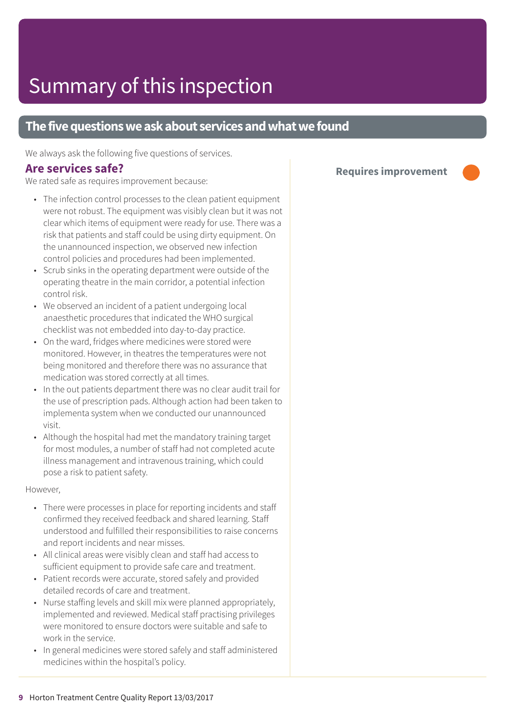### **The five questions we ask about services and what we found**

We always ask the following five questions of services.

### **Are services safe?**

We rated safe as requires improvement because:

- The infection control processes to the clean patient equipment were not robust. The equipment was visibly clean but it was not clear which items of equipment were ready for use. There was a risk that patients and staff could be using dirty equipment. On the unannounced inspection, we observed new infection control policies and procedures had been implemented.
- Scrub sinks in the operating department were outside of the operating theatre in the main corridor, a potential infection control risk.
- We observed an incident of a patient undergoing local anaesthetic procedures that indicated the WHO surgical checklist was not embedded into day-to-day practice.
- On the ward, fridges where medicines were stored were monitored. However, in theatres the temperatures were not being monitored and therefore there was no assurance that medication was stored correctly at all times.
- In the out patients department there was no clear audit trail for the use of prescription pads. Although action had been taken to implementa system when we conducted our unannounced visit.
- Although the hospital had met the mandatory training target for most modules, a number of staff had not completed acute illness management and intravenous training, which could pose a risk to patient safety.

However,

- There were processes in place for reporting incidents and staff confirmed they received feedback and shared learning. Staff understood and fulfilled their responsibilities to raise concerns and report incidents and near misses.
- All clinical areas were visibly clean and staff had access to sufficient equipment to provide safe care and treatment.
- Patient records were accurate, stored safely and provided detailed records of care and treatment.
- Nurse staffing levels and skill mix were planned appropriately, implemented and reviewed. Medical staff practising privileges were monitored to ensure doctors were suitable and safe to work in the service.
- In general medicines were stored safely and staff administered medicines within the hospital's policy.

**Requires improvement –––**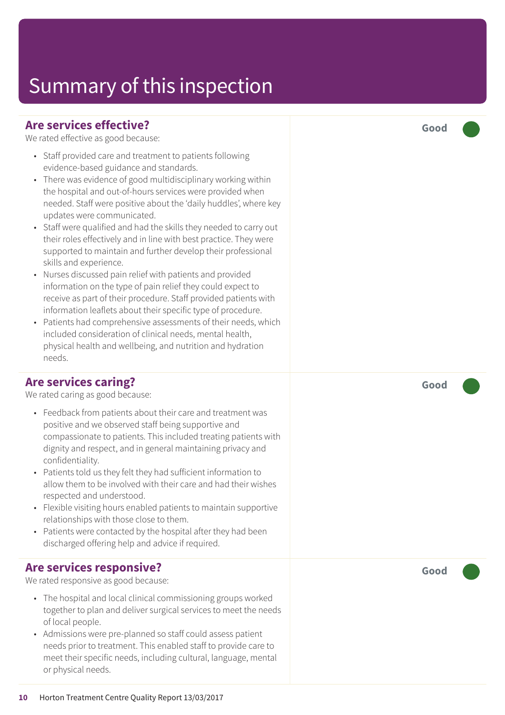### **Are services effective?**

We rated effective as good because:

- Staff provided care and treatment to patients following evidence-based guidance and standards.
- There was evidence of good multidisciplinary working within the hospital and out-of-hours services were provided when needed. Staff were positive about the 'daily huddles', where key updates were communicated.
- Staff were qualified and had the skills they needed to carry out their roles effectively and in line with best practice. They were supported to maintain and further develop their professional skills and experience.
- Nurses discussed pain relief with patients and provided information on the type of pain relief they could expect to receive as part of their procedure. Staff provided patients with information leaflets about their specific type of procedure.
- Patients had comprehensive assessments of their needs, which included consideration of clinical needs, mental health, physical health and wellbeing, and nutrition and hydration needs.

### **Are services caring?**

We rated caring as good because:

- Feedback from patients about their care and treatment was positive and we observed staff being supportive and compassionate to patients. This included treating patients with dignity and respect, and in general maintaining privacy and confidentiality.
- Patients told us they felt they had sufficient information to allow them to be involved with their care and had their wishes respected and understood.
- Flexible visiting hours enabled patients to maintain supportive relationships with those close to them.
- Patients were contacted by the hospital after they had been discharged offering help and advice if required.

### **Are services responsive?**

We rated responsive as good because:

- The hospital and local clinical commissioning groups worked together to plan and deliver surgical services to meet the needs of local people.
- Admissions were pre-planned so staff could assess patient needs prior to treatment. This enabled staff to provide care to meet their specific needs, including cultural, language, mental or physical needs.

**Good –––**

**Good –––**

**Good –––**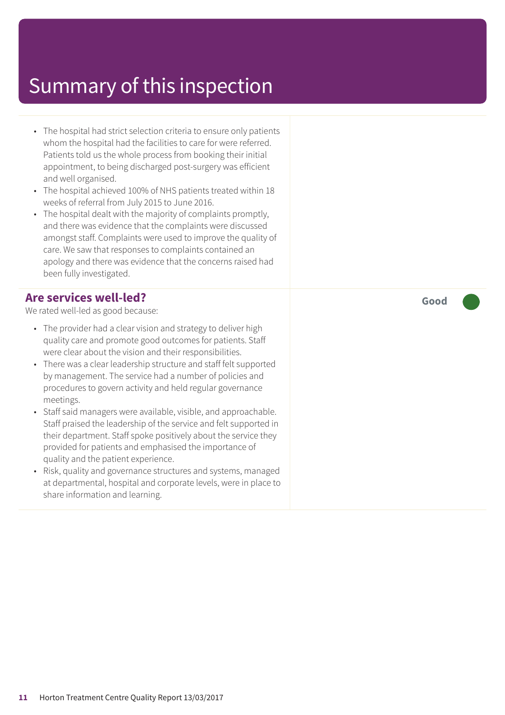- The hospital had strict selection criteria to ensure only patients whom the hospital had the facilities to care for were referred. Patients told us the whole process from booking their initial appointment, to being discharged post-surgery was efficient and well organised.
- The hospital achieved 100% of NHS patients treated within 18 weeks of referral from July 2015 to June 2016.
- The hospital dealt with the majority of complaints promptly, and there was evidence that the complaints were discussed amongst staff. Complaints were used to improve the quality of care. We saw that responses to complaints contained an apology and there was evidence that the concerns raised had been fully investigated.

### **Are services well-led?**

We rated well-led as good because:

- The provider had a clear vision and strategy to deliver high quality care and promote good outcomes for patients. Staff were clear about the vision and their responsibilities.
- There was a clear leadership structure and staff felt supported by management. The service had a number of policies and procedures to govern activity and held regular governance meetings.
- Staff said managers were available, visible, and approachable. Staff praised the leadership of the service and felt supported in their department. Staff spoke positively about the service they provided for patients and emphasised the importance of quality and the patient experience.
- Risk, quality and governance structures and systems, managed at departmental, hospital and corporate levels, were in place to share information and learning.

**Good –––**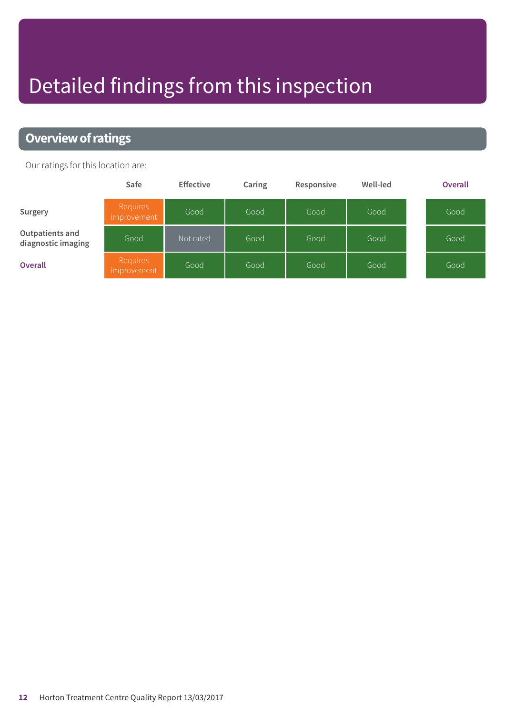# Detailed findings from this inspection

### **Overview of ratings**

Our ratings for this location are:

|                                       | Safe                           | <b>Effective</b> | Caring | Responsive | Well-led | <b>Overall</b> |
|---------------------------------------|--------------------------------|------------------|--------|------------|----------|----------------|
| Surgery                               | <b>Requires</b><br>improvement | Good             | Good   | Good       | Good     | Good           |
| Outpatients and<br>diagnostic imaging | Good                           | Not rated        | Good   | Good       | Good     | Good           |
| <b>Overall</b>                        | <b>Requires</b><br>improvement | Good             | Good   | Good       | Good     | Good           |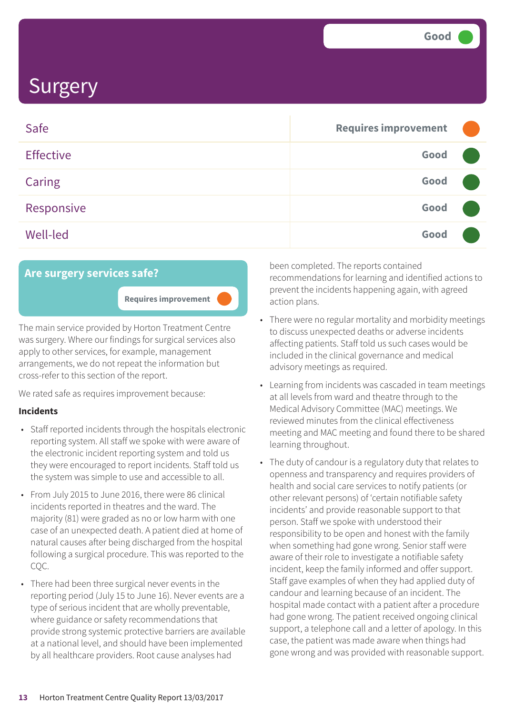| Safe             | <b>Requires improvement</b> |  |
|------------------|-----------------------------|--|
| <b>Effective</b> | Good                        |  |
| <b>Caring</b>    | Good                        |  |
| Responsive       | Good                        |  |
| <b>Well-led</b>  | Good                        |  |

### **Are surgery services safe?**

**Requires improvement –––**

The main service provided by Horton Treatment Centre was surgery. Where our findings for surgical services also apply to other services, for example, management arrangements, we do not repeat the information but cross-refer to this section of the report.

We rated safe as requires improvement because:

### **Incidents**

- Staff reported incidents through the hospitals electronic reporting system. All staff we spoke with were aware of the electronic incident reporting system and told us they were encouraged to report incidents. Staff told us the system was simple to use and accessible to all.
- From July 2015 to June 2016, there were 86 clinical incidents reported in theatres and the ward. The majority (81) were graded as no or low harm with one case of an unexpected death. A patient died at home of natural causes after being discharged from the hospital following a surgical procedure. This was reported to the CQC.
- There had been three surgical never events in the reporting period (July 15 to June 16). Never events are a type of serious incident that are wholly preventable, where guidance or safety recommendations that provide strong systemic protective barriers are available at a national level, and should have been implemented by all healthcare providers. Root cause analyses had

been completed. The reports contained recommendations for learning and identified actions to prevent the incidents happening again, with agreed action plans.

- There were no regular mortality and morbidity meetings to discuss unexpected deaths or adverse incidents affecting patients. Staff told us such cases would be included in the clinical governance and medical advisory meetings as required.
- Learning from incidents was cascaded in team meetings at all levels from ward and theatre through to the Medical Advisory Committee (MAC) meetings. We reviewed minutes from the clinical effectiveness meeting and MAC meeting and found there to be shared learning throughout.
- The duty of candour is a regulatory duty that relates to openness and transparency and requires providers of health and social care services to notify patients (or other relevant persons) of 'certain notifiable safety incidents' and provide reasonable support to that person. Staff we spoke with understood their responsibility to be open and honest with the family when something had gone wrong. Senior staff were aware of their role to investigate a notifiable safety incident, keep the family informed and offer support. Staff gave examples of when they had applied duty of candour and learning because of an incident. The hospital made contact with a patient after a procedure had gone wrong. The patient received ongoing clinical support, a telephone call and a letter of apology. In this case, the patient was made aware when things had gone wrong and was provided with reasonable support.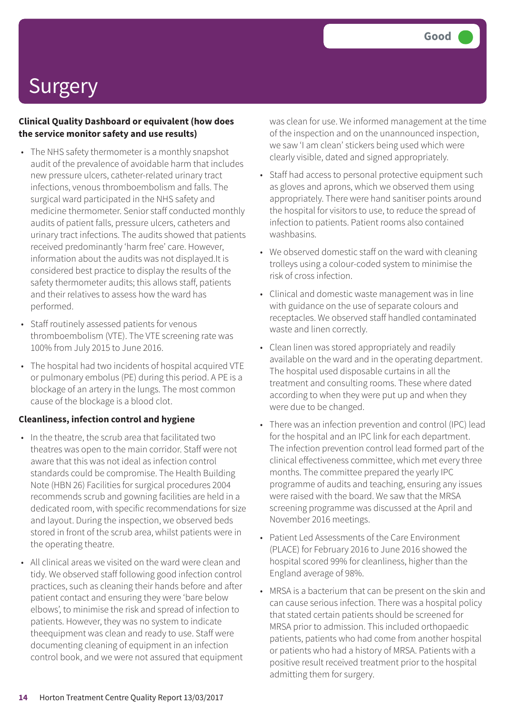### **Clinical Quality Dashboard or equivalent (how does the service monitor safety and use results)**

- The NHS safety thermometer is a monthly snapshot audit of the prevalence of avoidable harm that includes new pressure ulcers, catheter-related urinary tract infections, venous thromboembolism and falls. The surgical ward participated in the NHS safety and medicine thermometer. Senior staff conducted monthly audits of patient falls, pressure ulcers, catheters and urinary tract infections. The audits showed that patients received predominantly 'harm free' care. However, information about the audits was not displayed.It is considered best practice to display the results of the safety thermometer audits; this allows staff, patients and their relatives to assess how the ward has performed.
- Staff routinely assessed patients for venous thromboembolism (VTE). The VTE screening rate was 100% from July 2015 to June 2016.
- The hospital had two incidents of hospital acquired VTE or pulmonary embolus (PE) during this period. A PE is a blockage of an artery in the lungs. The most common cause of the blockage is a blood clot.

### **Cleanliness, infection control and hygiene**

- In the theatre, the scrub area that facilitated two theatres was open to the main corridor. Staff were not aware that this was not ideal as infection control standards could be compromise. The Health Building Note (HBN 26) Facilities for surgical procedures 2004 recommends scrub and gowning facilities are held in a dedicated room, with specific recommendations for size and layout. During the inspection, we observed beds stored in front of the scrub area, whilst patients were in the operating theatre.
- All clinical areas we visited on the ward were clean and tidy. We observed staff following good infection control practices, such as cleaning their hands before and after patient contact and ensuring they were 'bare below elbows', to minimise the risk and spread of infection to patients. However, they was no system to indicate theequipment was clean and ready to use. Staff were documenting cleaning of equipment in an infection control book, and we were not assured that equipment

was clean for use. We informed management at the time of the inspection and on the unannounced inspection, we saw 'I am clean' stickers being used which were clearly visible, dated and signed appropriately.

- Staff had access to personal protective equipment such as gloves and aprons, which we observed them using appropriately. There were hand sanitiser points around the hospital for visitors to use, to reduce the spread of infection to patients. Patient rooms also contained washbasins.
- We observed domestic staff on the ward with cleaning trolleys using a colour-coded system to minimise the risk of cross infection.
- Clinical and domestic waste management was in line with guidance on the use of separate colours and receptacles. We observed staff handled contaminated waste and linen correctly.
- Clean linen was stored appropriately and readily available on the ward and in the operating department. The hospital used disposable curtains in all the treatment and consulting rooms. These where dated according to when they were put up and when they were due to be changed.
- There was an infection prevention and control (IPC) lead for the hospital and an IPC link for each department. The infection prevention control lead formed part of the clinical effectiveness committee, which met every three months. The committee prepared the yearly IPC programme of audits and teaching, ensuring any issues were raised with the board. We saw that the MRSA screening programme was discussed at the April and November 2016 meetings.
- Patient Led Assessments of the Care Environment (PLACE) for February 2016 to June 2016 showed the hospital scored 99% for cleanliness, higher than the England average of 98%.
- MRSA is a bacterium that can be present on the skin and can cause serious infection. There was a hospital policy that stated certain patients should be screened for MRSA prior to admission. This included orthopaedic patients, patients who had come from another hospital or patients who had a history of MRSA. Patients with a positive result received treatment prior to the hospital admitting them for surgery.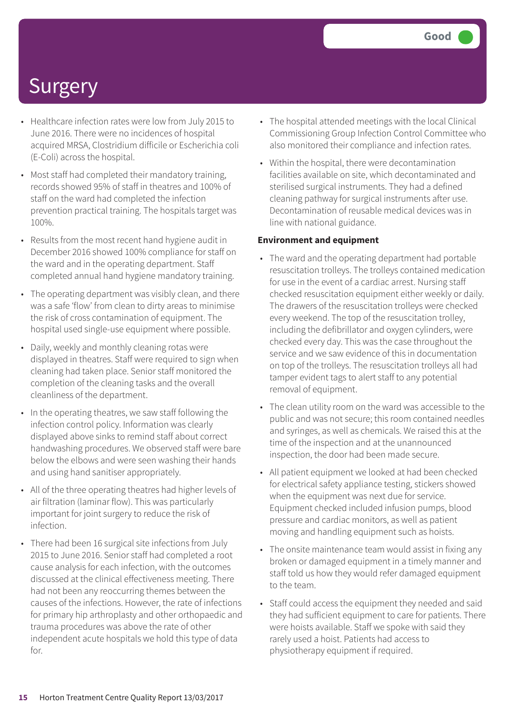- Healthcare infection rates were low from July 2015 to June 2016. There were no incidences of hospital acquired MRSA, Clostridium difficile or Escherichia coli (E-Coli) across the hospital.
- Most staff had completed their mandatory training, records showed 95% of staff in theatres and 100% of staff on the ward had completed the infection prevention practical training. The hospitals target was 100%.
- Results from the most recent hand hygiene audit in December 2016 showed 100% compliance for staff on the ward and in the operating department. Staff completed annual hand hygiene mandatory training.
- The operating department was visibly clean, and there was a safe 'flow' from clean to dirty areas to minimise the risk of cross contamination of equipment. The hospital used single-use equipment where possible.
- Daily, weekly and monthly cleaning rotas were displayed in theatres. Staff were required to sign when cleaning had taken place. Senior staff monitored the completion of the cleaning tasks and the overall cleanliness of the department.
- In the operating theatres, we saw staff following the infection control policy. Information was clearly displayed above sinks to remind staff about correct handwashing procedures. We observed staff were bare below the elbows and were seen washing their hands and using hand sanitiser appropriately.
- All of the three operating theatres had higher levels of air filtration (laminar flow). This was particularly important for joint surgery to reduce the risk of infection.
- There had been 16 surgical site infections from July 2015 to June 2016. Senior staff had completed a root cause analysis for each infection, with the outcomes discussed at the clinical effectiveness meeting. There had not been any reoccurring themes between the causes of the infections. However, the rate of infections for primary hip arthroplasty and other orthopaedic and trauma procedures was above the rate of other independent acute hospitals we hold this type of data for.
- The hospital attended meetings with the local Clinical Commissioning Group Infection Control Committee who also monitored their compliance and infection rates.
- Within the hospital, there were decontamination facilities available on site, which decontaminated and sterilised surgical instruments. They had a defined cleaning pathway for surgical instruments after use. Decontamination of reusable medical devices was in line with national guidance.

#### **Environment and equipment**

- The ward and the operating department had portable resuscitation trolleys. The trolleys contained medication for use in the event of a cardiac arrest. Nursing staff checked resuscitation equipment either weekly or daily. The drawers of the resuscitation trolleys were checked every weekend. The top of the resuscitation trolley, including the defibrillator and oxygen cylinders, were checked every day. This was the case throughout the service and we saw evidence of this in documentation on top of the trolleys. The resuscitation trolleys all had tamper evident tags to alert staff to any potential removal of equipment.
- The clean utility room on the ward was accessible to the public and was not secure; this room contained needles and syringes, as well as chemicals. We raised this at the time of the inspection and at the unannounced inspection, the door had been made secure.
- All patient equipment we looked at had been checked for electrical safety appliance testing, stickers showed when the equipment was next due for service. Equipment checked included infusion pumps, blood pressure and cardiac monitors, as well as patient moving and handling equipment such as hoists.
- The onsite maintenance team would assist in fixing any broken or damaged equipment in a timely manner and staff told us how they would refer damaged equipment to the team.
- Staff could access the equipment they needed and said they had sufficient equipment to care for patients. There were hoists available. Staff we spoke with said they rarely used a hoist. Patients had access to physiotherapy equipment if required.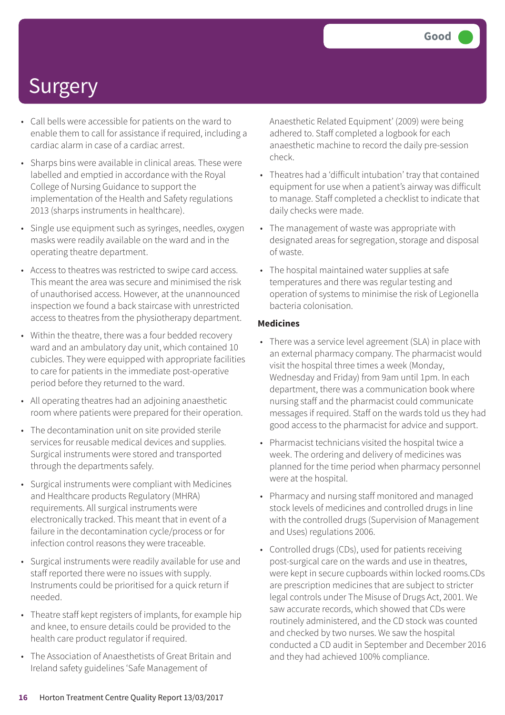- Call bells were accessible for patients on the ward to enable them to call for assistance if required, including a cardiac alarm in case of a cardiac arrest.
- Sharps bins were available in clinical areas. These were labelled and emptied in accordance with the Royal College of Nursing Guidance to support the implementation of the Health and Safety regulations 2013 (sharps instruments in healthcare).
- Single use equipment such as syringes, needles, oxygen masks were readily available on the ward and in the operating theatre department.
- Access to theatres was restricted to swipe card access. This meant the area was secure and minimised the risk of unauthorised access. However, at the unannounced inspection we found a back staircase with unrestricted access to theatres from the physiotherapy department.
- Within the theatre, there was a four bedded recovery ward and an ambulatory day unit, which contained 10 cubicles. They were equipped with appropriate facilities to care for patients in the immediate post-operative period before they returned to the ward.
- All operating theatres had an adjoining anaesthetic room where patients were prepared for their operation.
- The decontamination unit on site provided sterile services for reusable medical devices and supplies. Surgical instruments were stored and transported through the departments safely.
- Surgical instruments were compliant with Medicines and Healthcare products Regulatory (MHRA) requirements. All surgical instruments were electronically tracked. This meant that in event of a failure in the decontamination cycle/process or for infection control reasons they were traceable.
- Surgical instruments were readily available for use and staff reported there were no issues with supply. Instruments could be prioritised for a quick return if needed.
- Theatre staff kept registers of implants, for example hip and knee, to ensure details could be provided to the health care product regulator if required.
- The Association of Anaesthetists of Great Britain and Ireland safety guidelines 'Safe Management of

Anaesthetic Related Equipment' (2009) were being adhered to. Staff completed a logbook for each anaesthetic machine to record the daily pre-session check.

- Theatres had a 'difficult intubation' tray that contained equipment for use when a patient's airway was difficult to manage. Staff completed a checklist to indicate that daily checks were made.
- The management of waste was appropriate with designated areas for segregation, storage and disposal of waste.
- The hospital maintained water supplies at safe temperatures and there was regular testing and operation of systems to minimise the risk of Legionella bacteria colonisation.

#### **Medicines**

- There was a service level agreement (SLA) in place with an external pharmacy company. The pharmacist would visit the hospital three times a week (Monday, Wednesday and Friday) from 9am until 1pm. In each department, there was a communication book where nursing staff and the pharmacist could communicate messages if required. Staff on the wards told us they had good access to the pharmacist for advice and support.
- Pharmacist technicians visited the hospital twice a week. The ordering and delivery of medicines was planned for the time period when pharmacy personnel were at the hospital.
- Pharmacy and nursing staff monitored and managed stock levels of medicines and controlled drugs in line with the controlled drugs (Supervision of Management and Uses) regulations 2006.
- Controlled drugs (CDs), used for patients receiving post-surgical care on the wards and use in theatres, were kept in secure cupboards within locked rooms.CDs are prescription medicines that are subject to stricter legal controls under The Misuse of Drugs Act, 2001. We saw accurate records, which showed that CDs were routinely administered, and the CD stock was counted and checked by two nurses. We saw the hospital conducted a CD audit in September and December 2016 and they had achieved 100% compliance.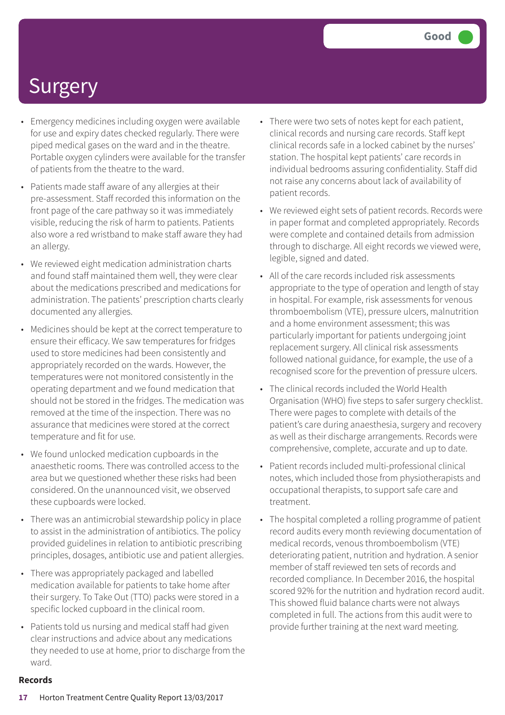- Emergency medicines including oxygen were available for use and expiry dates checked regularly. There were piped medical gases on the ward and in the theatre. Portable oxygen cylinders were available for the transfer of patients from the theatre to the ward.
- Patients made staff aware of any allergies at their pre-assessment. Staff recorded this information on the front page of the care pathway so it was immediately visible, reducing the risk of harm to patients. Patients also wore a red wristband to make staff aware they had an allergy.
- We reviewed eight medication administration charts and found staff maintained them well, they were clear about the medications prescribed and medications for administration. The patients' prescription charts clearly documented any allergies.
- Medicines should be kept at the correct temperature to ensure their efficacy. We saw temperatures for fridges used to store medicines had been consistently and appropriately recorded on the wards. However, the temperatures were not monitored consistently in the operating department and we found medication that should not be stored in the fridges. The medication was removed at the time of the inspection. There was no assurance that medicines were stored at the correct temperature and fit for use.
- We found unlocked medication cupboards in the anaesthetic rooms. There was controlled access to the area but we questioned whether these risks had been considered. On the unannounced visit, we observed these cupboards were locked.
- There was an antimicrobial stewardship policy in place to assist in the administration of antibiotics. The policy provided guidelines in relation to antibiotic prescribing principles, dosages, antibiotic use and patient allergies.
- There was appropriately packaged and labelled medication available for patients to take home after their surgery. To Take Out (TTO) packs were stored in a specific locked cupboard in the clinical room.
- Patients told us nursing and medical staff had given clear instructions and advice about any medications they needed to use at home, prior to discharge from the ward.
- There were two sets of notes kept for each patient, clinical records and nursing care records. Staff kept clinical records safe in a locked cabinet by the nurses' station. The hospital kept patients' care records in individual bedrooms assuring confidentiality. Staff did not raise any concerns about lack of availability of patient records.
- We reviewed eight sets of patient records. Records were in paper format and completed appropriately. Records were complete and contained details from admission through to discharge. All eight records we viewed were, legible, signed and dated.
- All of the care records included risk assessments appropriate to the type of operation and length of stay in hospital. For example, risk assessments for venous thromboembolism (VTE), pressure ulcers, malnutrition and a home environment assessment; this was particularly important for patients undergoing joint replacement surgery. All clinical risk assessments followed national guidance, for example, the use of a recognised score for the prevention of pressure ulcers.
- The clinical records included the World Health Organisation (WHO) five steps to safer surgery checklist. There were pages to complete with details of the patient's care during anaesthesia, surgery and recovery as well as their discharge arrangements. Records were comprehensive, complete, accurate and up to date.
- Patient records included multi-professional clinical notes, which included those from physiotherapists and occupational therapists, to support safe care and treatment.
- The hospital completed a rolling programme of patient record audits every month reviewing documentation of medical records, venous thromboembolism (VTE) deteriorating patient, nutrition and hydration. A senior member of staff reviewed ten sets of records and recorded compliance. In December 2016, the hospital scored 92% for the nutrition and hydration record audit. This showed fluid balance charts were not always completed in full. The actions from this audit were to provide further training at the next ward meeting.

### **Records**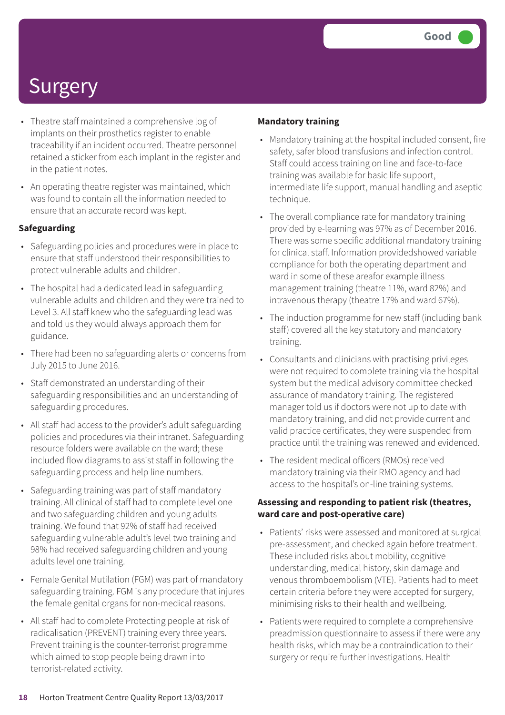- Theatre staff maintained a comprehensive log of implants on their prosthetics register to enable traceability if an incident occurred. Theatre personnel retained a sticker from each implant in the register and in the patient notes.
- An operating theatre register was maintained, which was found to contain all the information needed to ensure that an accurate record was kept.

### **Safeguarding**

- Safeguarding policies and procedures were in place to ensure that staff understood their responsibilities to protect vulnerable adults and children.
- The hospital had a dedicated lead in safeguarding vulnerable adults and children and they were trained to Level 3. All staff knew who the safeguarding lead was and told us they would always approach them for guidance.
- There had been no safeguarding alerts or concerns from July 2015 to June 2016.
- Staff demonstrated an understanding of their safeguarding responsibilities and an understanding of safeguarding procedures.
- All staff had access to the provider's adult safeguarding policies and procedures via their intranet. Safeguarding resource folders were available on the ward; these included flow diagrams to assist staff in following the safeguarding process and help line numbers.
- Safeguarding training was part of staff mandatory training. All clinical of staff had to complete level one and two safeguarding children and young adults training. We found that 92% of staff had received safeguarding vulnerable adult's level two training and 98% had received safeguarding children and young adults level one training.
- Female Genital Mutilation (FGM) was part of mandatory safeguarding training. FGM is any procedure that injures the female genital organs for non-medical reasons.
- All staff had to complete Protecting people at risk of radicalisation (PREVENT) training every three years. Prevent training is the counter-terrorist programme which aimed to stop people being drawn into terrorist-related activity.

#### **Mandatory training**

- Mandatory training at the hospital included consent, fire safety, safer blood transfusions and infection control. Staff could access training on line and face-to-face training was available for basic life support, intermediate life support, manual handling and aseptic technique.
- The overall compliance rate for mandatory training provided by e-learning was 97% as of December 2016. There was some specific additional mandatory training for clinical staff. Information providedshowed variable compliance for both the operating department and ward in some of these areafor example illness management training (theatre 11%, ward 82%) and intravenous therapy (theatre 17% and ward 67%).
- The induction programme for new staff (including bank staff) covered all the key statutory and mandatory training.
- Consultants and clinicians with practising privileges were not required to complete training via the hospital system but the medical advisory committee checked assurance of mandatory training. The registered manager told us if doctors were not up to date with mandatory training, and did not provide current and valid practice certificates, they were suspended from practice until the training was renewed and evidenced.
- The resident medical officers (RMOs) received mandatory training via their RMO agency and had access to the hospital's on-line training systems.

#### **Assessing and responding to patient risk (theatres, ward care and post-operative care)**

- Patients' risks were assessed and monitored at surgical pre-assessment, and checked again before treatment. These included risks about mobility, cognitive understanding, medical history, skin damage and venous thromboembolism (VTE). Patients had to meet certain criteria before they were accepted for surgery, minimising risks to their health and wellbeing.
- Patients were required to complete a comprehensive preadmission questionnaire to assess if there were any health risks, which may be a contraindication to their surgery or require further investigations. Health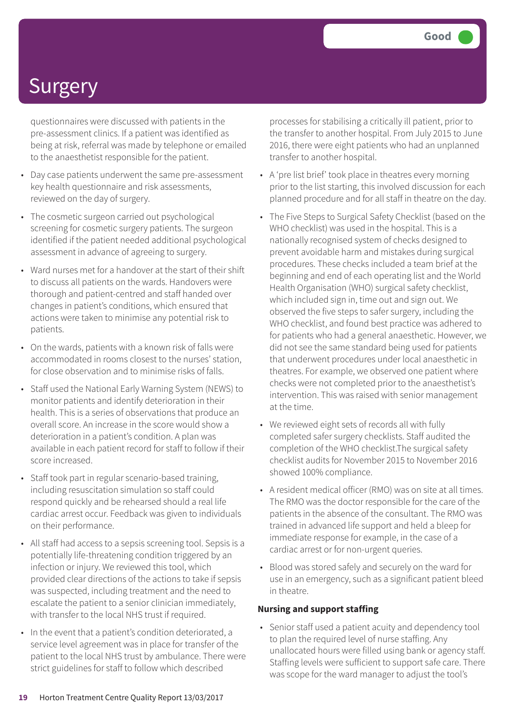questionnaires were discussed with patients in the pre-assessment clinics. If a patient was identified as being at risk, referral was made by telephone or emailed to the anaesthetist responsible for the patient.

- Day case patients underwent the same pre-assessment key health questionnaire and risk assessments, reviewed on the day of surgery.
- The cosmetic surgeon carried out psychological screening for cosmetic surgery patients. The surgeon identified if the patient needed additional psychological assessment in advance of agreeing to surgery.
- Ward nurses met for a handover at the start of their shift to discuss all patients on the wards. Handovers were thorough and patient-centred and staff handed over changes in patient's conditions, which ensured that actions were taken to minimise any potential risk to patients.
- On the wards, patients with a known risk of falls were accommodated in rooms closest to the nurses' station, for close observation and to minimise risks of falls.
- Staff used the National Early Warning System (NEWS) to monitor patients and identify deterioration in their health. This is a series of observations that produce an overall score. An increase in the score would show a deterioration in a patient's condition. A plan was available in each patient record for staff to follow if their score increased.
- Staff took part in regular scenario-based training, including resuscitation simulation so staff could respond quickly and be rehearsed should a real life cardiac arrest occur. Feedback was given to individuals on their performance.
- All staff had access to a sepsis screening tool. Sepsis is a potentially life-threatening condition triggered by an infection or injury. We reviewed this tool, which provided clear directions of the actions to take if sepsis was suspected, including treatment and the need to escalate the patient to a senior clinician immediately, with transfer to the local NHS trust if required.
- In the event that a patient's condition deteriorated, a service level agreement was in place for transfer of the patient to the local NHS trust by ambulance. There were strict guidelines for staff to follow which described

processes for stabilising a critically ill patient, prior to the transfer to another hospital. From July 2015 to June 2016, there were eight patients who had an unplanned transfer to another hospital.

- A 'pre list brief' took place in theatres every morning prior to the list starting, this involved discussion for each planned procedure and for all staff in theatre on the day.
- The Five Steps to Surgical Safety Checklist (based on the WHO checklist) was used in the hospital. This is a nationally recognised system of checks designed to prevent avoidable harm and mistakes during surgical procedures. These checks included a team brief at the beginning and end of each operating list and the World Health Organisation (WHO) surgical safety checklist, which included sign in, time out and sign out. We observed the five steps to safer surgery, including the WHO checklist, and found best practice was adhered to for patients who had a general anaesthetic. However, we did not see the same standard being used for patients that underwent procedures under local anaesthetic in theatres. For example, we observed one patient where checks were not completed prior to the anaesthetist's intervention. This was raised with senior management at the time.
- We reviewed eight sets of records all with fully completed safer surgery checklists. Staff audited the completion of the WHO checklist.The surgical safety checklist audits for November 2015 to November 2016 showed 100% compliance.
- A resident medical officer (RMO) was on site at all times. The RMO was the doctor responsible for the care of the patients in the absence of the consultant. The RMO was trained in advanced life support and held a bleep for immediate response for example, in the case of a cardiac arrest or for non-urgent queries.
- Blood was stored safely and securely on the ward for use in an emergency, such as a significant patient bleed in theatre.

### **Nursing and support staffing**

• Senior staff used a patient acuity and dependency tool to plan the required level of nurse staffing. Any unallocated hours were filled using bank or agency staff. Staffing levels were sufficient to support safe care. There was scope for the ward manager to adjust the tool's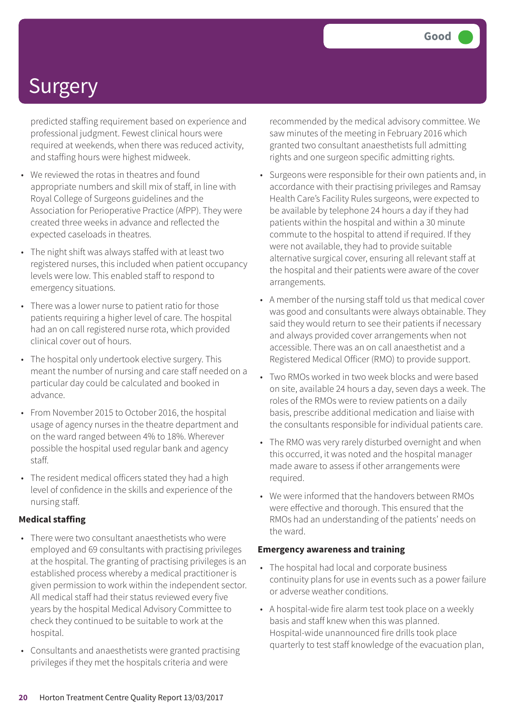predicted staffing requirement based on experience and professional judgment. Fewest clinical hours were required at weekends, when there was reduced activity, and staffing hours were highest midweek.

- We reviewed the rotas in theatres and found appropriate numbers and skill mix of staff, in line with Royal College of Surgeons guidelines and the Association for Perioperative Practice (AfPP). They were created three weeks in advance and reflected the expected caseloads in theatres.
- The night shift was always staffed with at least two registered nurses, this included when patient occupancy levels were low. This enabled staff to respond to emergency situations.
- There was a lower nurse to patient ratio for those patients requiring a higher level of care. The hospital had an on call registered nurse rota, which provided clinical cover out of hours.
- The hospital only undertook elective surgery. This meant the number of nursing and care staff needed on a particular day could be calculated and booked in advance.
- From November 2015 to October 2016, the hospital usage of agency nurses in the theatre department and on the ward ranged between 4% to 18%. Wherever possible the hospital used regular bank and agency staff.
- The resident medical officers stated they had a high level of confidence in the skills and experience of the nursing staff.

### **Medical staffing**

- There were two consultant anaesthetists who were employed and 69 consultants with practising privileges at the hospital. The granting of practising privileges is an established process whereby a medical practitioner is given permission to work within the independent sector. All medical staff had their status reviewed every five years by the hospital Medical Advisory Committee to check they continued to be suitable to work at the hospital.
- Consultants and anaesthetists were granted practising privileges if they met the hospitals criteria and were

recommended by the medical advisory committee. We saw minutes of the meeting in February 2016 which granted two consultant anaesthetists full admitting rights and one surgeon specific admitting rights.

- Surgeons were responsible for their own patients and, in accordance with their practising privileges and Ramsay Health Care's Facility Rules surgeons, were expected to be available by telephone 24 hours a day if they had patients within the hospital and within a 30 minute commute to the hospital to attend if required. If they were not available, they had to provide suitable alternative surgical cover, ensuring all relevant staff at the hospital and their patients were aware of the cover arrangements.
- A member of the nursing staff told us that medical cover was good and consultants were always obtainable. They said they would return to see their patients if necessary and always provided cover arrangements when not accessible. There was an on call anaesthetist and a Registered Medical Officer (RMO) to provide support.
- Two RMOs worked in two week blocks and were based on site, available 24 hours a day, seven days a week. The roles of the RMOs were to review patients on a daily basis, prescribe additional medication and liaise with the consultants responsible for individual patients care.
- The RMO was very rarely disturbed overnight and when this occurred, it was noted and the hospital manager made aware to assess if other arrangements were required.
- We were informed that the handovers between RMOs were effective and thorough. This ensured that the RMOs had an understanding of the patients' needs on the ward.

#### **Emergency awareness and training**

- The hospital had local and corporate business continuity plans for use in events such as a power failure or adverse weather conditions.
- A hospital-wide fire alarm test took place on a weekly basis and staff knew when this was planned. Hospital-wide unannounced fire drills took place quarterly to test staff knowledge of the evacuation plan,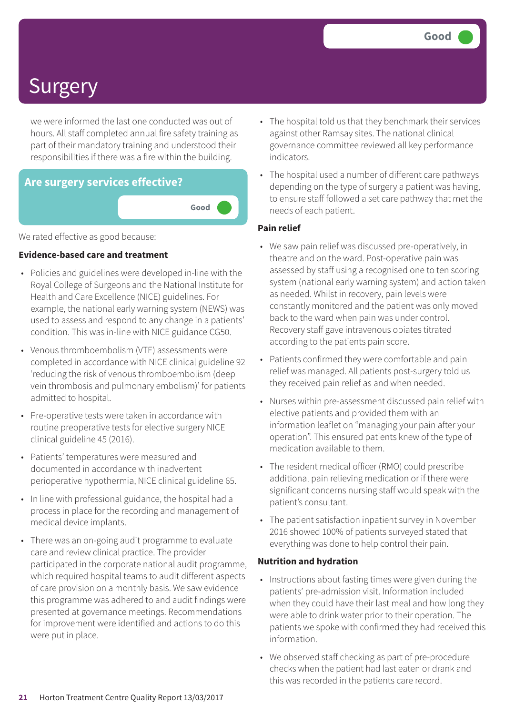we were informed the last one conducted was out of hours. All staff completed annual fire safety training as part of their mandatory training and understood their responsibilities if there was a fire within the building.



We rated effective as good because:

#### **Evidence-based care and treatment**

- Policies and guidelines were developed in-line with the Royal College of Surgeons and the National Institute for Health and Care Excellence (NICE) guidelines. For example, the national early warning system (NEWS) was used to assess and respond to any change in a patients' condition. This was in-line with NICE guidance CG50.
- Venous thromboembolism (VTE) assessments were completed in accordance with NICE clinical guideline 92 'reducing the risk of venous thromboembolism (deep vein thrombosis and pulmonary embolism)' for patients admitted to hospital.
- Pre-operative tests were taken in accordance with routine preoperative tests for elective surgery NICE clinical guideline 45 (2016).
- Patients' temperatures were measured and documented in accordance with inadvertent perioperative hypothermia, NICE clinical guideline 65.
- In line with professional guidance, the hospital had a process in place for the recording and management of medical device implants.
- There was an on-going audit programme to evaluate care and review clinical practice. The provider participated in the corporate national audit programme, which required hospital teams to audit different aspects of care provision on a monthly basis. We saw evidence this programme was adhered to and audit findings were presented at governance meetings. Recommendations for improvement were identified and actions to do this were put in place.
- The hospital told us that they benchmark their services against other Ramsay sites. The national clinical governance committee reviewed all key performance indicators.
- The hospital used a number of different care pathways depending on the type of surgery a patient was having, to ensure staff followed a set care pathway that met the needs of each patient.

#### **Pain relief**

- We saw pain relief was discussed pre-operatively, in theatre and on the ward. Post-operative pain was assessed by staff using a recognised one to ten scoring system (national early warning system) and action taken as needed. Whilst in recovery, pain levels were constantly monitored and the patient was only moved back to the ward when pain was under control. Recovery staff gave intravenous opiates titrated according to the patients pain score.
- Patients confirmed they were comfortable and pain relief was managed. All patients post-surgery told us they received pain relief as and when needed.
- Nurses within pre-assessment discussed pain relief with elective patients and provided them with an information leaflet on "managing your pain after your operation". This ensured patients knew of the type of medication available to them.
- The resident medical officer (RMO) could prescribe additional pain relieving medication or if there were significant concerns nursing staff would speak with the patient's consultant.
- The patient satisfaction inpatient survey in November 2016 showed 100% of patients surveyed stated that everything was done to help control their pain.

#### **Nutrition and hydration**

- Instructions about fasting times were given during the patients' pre-admission visit. Information included when they could have their last meal and how long they were able to drink water prior to their operation. The patients we spoke with confirmed they had received this information.
- We observed staff checking as part of pre-procedure checks when the patient had last eaten or drank and this was recorded in the patients care record.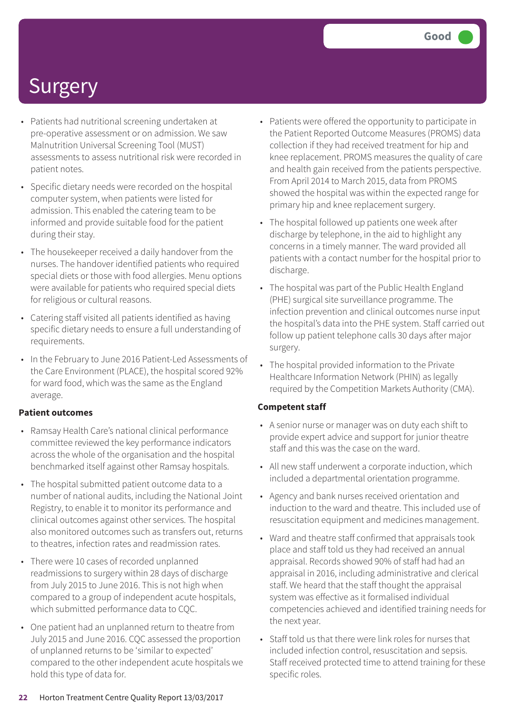- Patients had nutritional screening undertaken at pre-operative assessment or on admission. We saw Malnutrition Universal Screening Tool (MUST) assessments to assess nutritional risk were recorded in patient notes.
- Specific dietary needs were recorded on the hospital computer system, when patients were listed for admission. This enabled the catering team to be informed and provide suitable food for the patient during their stay.
- The housekeeper received a daily handover from the nurses. The handover identified patients who required special diets or those with food allergies. Menu options were available for patients who required special diets for religious or cultural reasons.
- Catering staff visited all patients identified as having specific dietary needs to ensure a full understanding of requirements.
- In the February to June 2016 Patient-Led Assessments of the Care Environment (PLACE), the hospital scored 92% for ward food, which was the same as the England average.

### **Patient outcomes**

- Ramsay Health Care's national clinical performance committee reviewed the key performance indicators across the whole of the organisation and the hospital benchmarked itself against other Ramsay hospitals.
- The hospital submitted patient outcome data to a number of national audits, including the National Joint Registry, to enable it to monitor its performance and clinical outcomes against other services. The hospital also monitored outcomes such as transfers out, returns to theatres, infection rates and readmission rates.
- There were 10 cases of recorded unplanned readmissions to surgery within 28 days of discharge from July 2015 to June 2016. This is not high when compared to a group of independent acute hospitals, which submitted performance data to CQC.
- One patient had an unplanned return to theatre from July 2015 and June 2016. CQC assessed the proportion of unplanned returns to be 'similar to expected' compared to the other independent acute hospitals we hold this type of data for.
- Patients were offered the opportunity to participate in the Patient Reported Outcome Measures (PROMS) data collection if they had received treatment for hip and knee replacement. PROMS measures the quality of care and health gain received from the patients perspective. From April 2014 to March 2015, data from PROMS showed the hospital was within the expected range for primary hip and knee replacement surgery.
- The hospital followed up patients one week after discharge by telephone, in the aid to highlight any concerns in a timely manner. The ward provided all patients with a contact number for the hospital prior to discharge.
- The hospital was part of the Public Health England (PHE) surgical site surveillance programme. The infection prevention and clinical outcomes nurse input the hospital's data into the PHE system. Staff carried out follow up patient telephone calls 30 days after major surgery.
- The hospital provided information to the Private Healthcare Information Network (PHIN) as legally required by the Competition Markets Authority (CMA).

### **Competent staff**

- A senior nurse or manager was on duty each shift to provide expert advice and support for junior theatre staff and this was the case on the ward.
- All new staff underwent a corporate induction, which included a departmental orientation programme.
- Agency and bank nurses received orientation and induction to the ward and theatre. This included use of resuscitation equipment and medicines management.
- Ward and theatre staff confirmed that appraisals took place and staff told us they had received an annual appraisal. Records showed 90% of staff had had an appraisal in 2016, including administrative and clerical staff. We heard that the staff thought the appraisal system was effective as it formalised individual competencies achieved and identified training needs for the next year.
- Staff told us that there were link roles for nurses that included infection control, resuscitation and sepsis. Staff received protected time to attend training for these specific roles.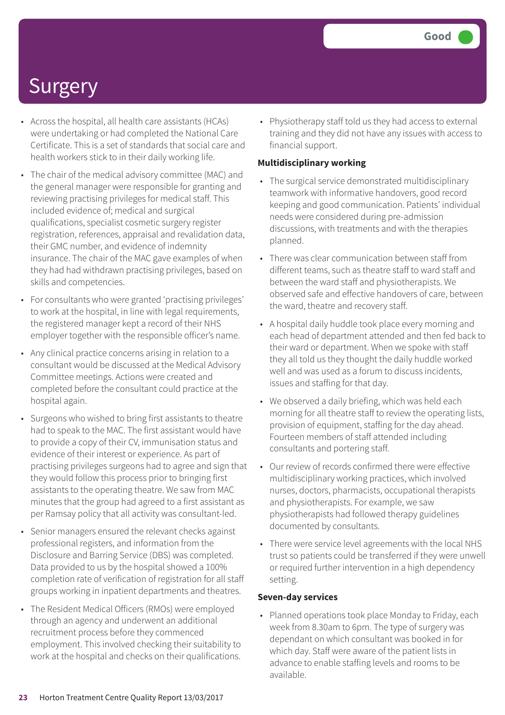- Across the hospital, all health care assistants (HCAs) were undertaking or had completed the National Care Certificate. This is a set of standards that social care and health workers stick to in their daily working life.
- The chair of the medical advisory committee (MAC) and the general manager were responsible for granting and reviewing practising privileges for medical staff. This included evidence of; medical and surgical qualifications, specialist cosmetic surgery register registration, references, appraisal and revalidation data, their GMC number, and evidence of indemnity insurance. The chair of the MAC gave examples of when they had had withdrawn practising privileges, based on skills and competencies.
- For consultants who were granted 'practising privileges' to work at the hospital, in line with legal requirements, the registered manager kept a record of their NHS employer together with the responsible officer's name.
- Any clinical practice concerns arising in relation to a consultant would be discussed at the Medical Advisory Committee meetings. Actions were created and completed before the consultant could practice at the hospital again.
- Surgeons who wished to bring first assistants to theatre had to speak to the MAC. The first assistant would have to provide a copy of their CV, immunisation status and evidence of their interest or experience. As part of practising privileges surgeons had to agree and sign that they would follow this process prior to bringing first assistants to the operating theatre. We saw from MAC minutes that the group had agreed to a first assistant as per Ramsay policy that all activity was consultant-led.
- Senior managers ensured the relevant checks against professional registers, and information from the Disclosure and Barring Service (DBS) was completed. Data provided to us by the hospital showed a 100% completion rate of verification of registration for all staff groups working in inpatient departments and theatres.
- The Resident Medical Officers (RMOs) were employed through an agency and underwent an additional recruitment process before they commenced employment. This involved checking their suitability to work at the hospital and checks on their qualifications.

• Physiotherapy staff told us they had access to external training and they did not have any issues with access to financial support.

#### **Multidisciplinary working**

- The surgical service demonstrated multidisciplinary teamwork with informative handovers, good record keeping and good communication. Patients' individual needs were considered during pre-admission discussions, with treatments and with the therapies planned.
- There was clear communication between staff from different teams, such as theatre staff to ward staff and between the ward staff and physiotherapists. We observed safe and effective handovers of care, between the ward, theatre and recovery staff.
- A hospital daily huddle took place every morning and each head of department attended and then fed back to their ward or department. When we spoke with staff they all told us they thought the daily huddle worked well and was used as a forum to discuss incidents, issues and staffing for that day.
- We observed a daily briefing, which was held each morning for all theatre staff to review the operating lists, provision of equipment, staffing for the day ahead. Fourteen members of staff attended including consultants and portering staff.
- Our review of records confirmed there were effective multidisciplinary working practices, which involved nurses, doctors, pharmacists, occupational therapists and physiotherapists. For example, we saw physiotherapists had followed therapy guidelines documented by consultants.
- There were service level agreements with the local NHS trust so patients could be transferred if they were unwell or required further intervention in a high dependency setting.

#### **Seven-day services**

• Planned operations took place Monday to Friday, each week from 8.30am to 6pm. The type of surgery was dependant on which consultant was booked in for which day. Staff were aware of the patient lists in advance to enable staffing levels and rooms to be available.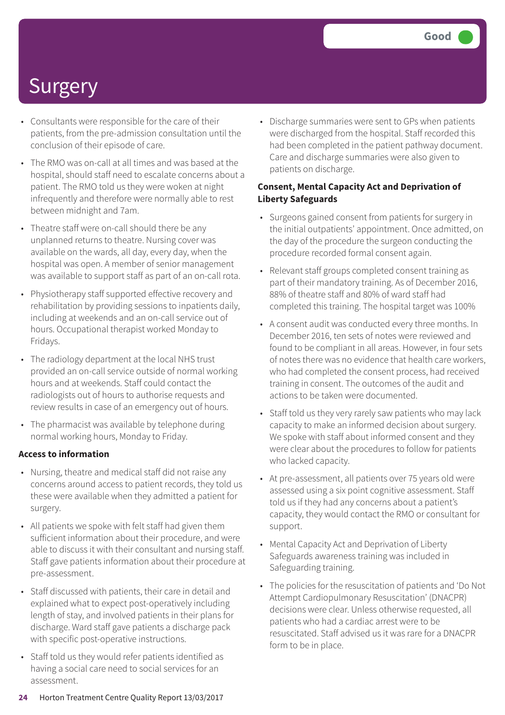- Consultants were responsible for the care of their patients, from the pre-admission consultation until the conclusion of their episode of care.
- The RMO was on-call at all times and was based at the hospital, should staff need to escalate concerns about a patient. The RMO told us they were woken at night infrequently and therefore were normally able to rest between midnight and 7am.
- Theatre staff were on-call should there be any unplanned returns to theatre. Nursing cover was available on the wards, all day, every day, when the hospital was open. A member of senior management was available to support staff as part of an on-call rota.
- Physiotherapy staff supported effective recovery and rehabilitation by providing sessions to inpatients daily, including at weekends and an on-call service out of hours. Occupational therapist worked Monday to Fridays.
- The radiology department at the local NHS trust provided an on-call service outside of normal working hours and at weekends. Staff could contact the radiologists out of hours to authorise requests and review results in case of an emergency out of hours.
- The pharmacist was available by telephone during normal working hours, Monday to Friday.

### **Access to information**

- Nursing, theatre and medical staff did not raise any concerns around access to patient records, they told us these were available when they admitted a patient for surgery.
- All patients we spoke with felt staff had given them sufficient information about their procedure, and were able to discuss it with their consultant and nursing staff. Staff gave patients information about their procedure at pre-assessment.
- Staff discussed with patients, their care in detail and explained what to expect post-operatively including length of stay, and involved patients in their plans for discharge. Ward staff gave patients a discharge pack with specific post-operative instructions.
- Staff told us they would refer patients identified as having a social care need to social services for an assessment.

• Discharge summaries were sent to GPs when patients were discharged from the hospital. Staff recorded this had been completed in the patient pathway document. Care and discharge summaries were also given to patients on discharge.

### **Consent, Mental Capacity Act and Deprivation of Liberty Safeguards**

- Surgeons gained consent from patients for surgery in the initial outpatients' appointment. Once admitted, on the day of the procedure the surgeon conducting the procedure recorded formal consent again.
- Relevant staff groups completed consent training as part of their mandatory training. As of December 2016, 88% of theatre staff and 80% of ward staff had completed this training. The hospital target was 100%
- A consent audit was conducted every three months. In December 2016, ten sets of notes were reviewed and found to be compliant in all areas. However, in four sets of notes there was no evidence that health care workers, who had completed the consent process, had received training in consent. The outcomes of the audit and actions to be taken were documented.
- Staff told us they very rarely saw patients who may lack capacity to make an informed decision about surgery. We spoke with staff about informed consent and they were clear about the procedures to follow for patients who lacked capacity.
- At pre-assessment, all patients over 75 years old were assessed using a six point cognitive assessment. Staff told us if they had any concerns about a patient's capacity, they would contact the RMO or consultant for support.
- Mental Capacity Act and Deprivation of Liberty Safeguards awareness training was included in Safeguarding training.
- The policies for the resuscitation of patients and 'Do Not Attempt Cardiopulmonary Resuscitation' (DNACPR) decisions were clear. Unless otherwise requested, all patients who had a cardiac arrest were to be resuscitated. Staff advised us it was rare for a DNACPR form to be in place.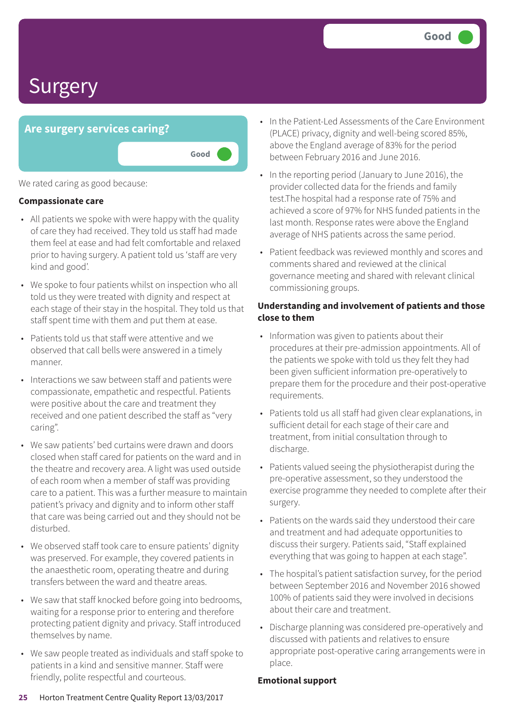### **Are surgery services caring?**

We rated caring as good because:

#### **Compassionate care**

• All patients we spoke with were happy with the quality of care they had received. They told us staff had made them feel at ease and had felt comfortable and relaxed prior to having surgery. A patient told us 'staff are very kind and good'.

**Good –––**

- We spoke to four patients whilst on inspection who all told us they were treated with dignity and respect at each stage of their stay in the hospital. They told us that staff spent time with them and put them at ease.
- Patients told us that staff were attentive and we observed that call bells were answered in a timely manner.
- Interactions we saw between staff and patients were compassionate, empathetic and respectful. Patients were positive about the care and treatment they received and one patient described the staff as "very caring".
- We saw patients' bed curtains were drawn and doors closed when staff cared for patients on the ward and in the theatre and recovery area. A light was used outside of each room when a member of staff was providing care to a patient. This was a further measure to maintain patient's privacy and dignity and to inform other staff that care was being carried out and they should not be disturbed.
- We observed staff took care to ensure patients' dignity was preserved. For example, they covered patients in the anaesthetic room, operating theatre and during transfers between the ward and theatre areas.
- We saw that staff knocked before going into bedrooms, waiting for a response prior to entering and therefore protecting patient dignity and privacy. Staff introduced themselves by name.
- We saw people treated as individuals and staff spoke to patients in a kind and sensitive manner. Staff were friendly, polite respectful and courteous.
- In the Patient-Led Assessments of the Care Environment (PLACE) privacy, dignity and well-being scored 85%, above the England average of 83% for the period between February 2016 and June 2016.
- In the reporting period (January to June 2016), the provider collected data for the friends and family test.The hospital had a response rate of 75% and achieved a score of 97% for NHS funded patients in the last month. Response rates were above the England average of NHS patients across the same period.
- Patient feedback was reviewed monthly and scores and comments shared and reviewed at the clinical governance meeting and shared with relevant clinical commissioning groups.

### **Understanding and involvement of patients and those close to them**

- Information was given to patients about their procedures at their pre-admission appointments. All of the patients we spoke with told us they felt they had been given sufficient information pre-operatively to prepare them for the procedure and their post-operative requirements.
- Patients told us all staff had given clear explanations, in sufficient detail for each stage of their care and treatment, from initial consultation through to discharge.
- Patients valued seeing the physiotherapist during the pre-operative assessment, so they understood the exercise programme they needed to complete after their surgery.
- Patients on the wards said they understood their care and treatment and had adequate opportunities to discuss their surgery. Patients said, "Staff explained everything that was going to happen at each stage".
- The hospital's patient satisfaction survey, for the period between September 2016 and November 2016 showed 100% of patients said they were involved in decisions about their care and treatment.
- Discharge planning was considered pre-operatively and discussed with patients and relatives to ensure appropriate post-operative caring arrangements were in place.

### **Emotional support**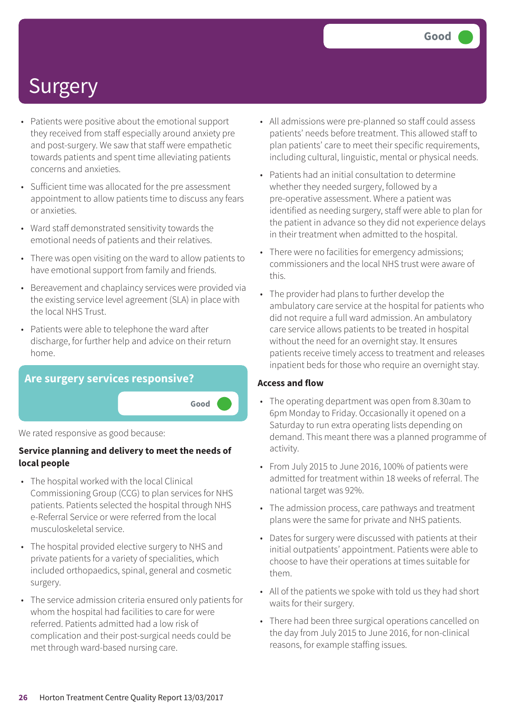- Patients were positive about the emotional support they received from staff especially around anxiety pre and post-surgery. We saw that staff were empathetic towards patients and spent time alleviating patients concerns and anxieties.
- Sufficient time was allocated for the pre assessment appointment to allow patients time to discuss any fears or anxieties.
- Ward staff demonstrated sensitivity towards the emotional needs of patients and their relatives.
- There was open visiting on the ward to allow patients to have emotional support from family and friends.
- Bereavement and chaplaincy services were provided via the existing service level agreement (SLA) in place with the local NHS Trust.
- Patients were able to telephone the ward after discharge, for further help and advice on their return home.



We rated responsive as good because:

### **Service planning and delivery to meet the needs of local people**

- The hospital worked with the local Clinical Commissioning Group (CCG) to plan services for NHS patients. Patients selected the hospital through NHS e-Referral Service or were referred from the local musculoskeletal service.
- The hospital provided elective surgery to NHS and private patients for a variety of specialities, which included orthopaedics, spinal, general and cosmetic surgery.
- The service admission criteria ensured only patients for whom the hospital had facilities to care for were referred. Patients admitted had a low risk of complication and their post-surgical needs could be met through ward-based nursing care.
- All admissions were pre-planned so staff could assess patients' needs before treatment. This allowed staff to plan patients' care to meet their specific requirements, including cultural, linguistic, mental or physical needs.
- Patients had an initial consultation to determine whether they needed surgery, followed by a pre-operative assessment. Where a patient was identified as needing surgery, staff were able to plan for the patient in advance so they did not experience delays in their treatment when admitted to the hospital.
- There were no facilities for emergency admissions; commissioners and the local NHS trust were aware of this.
- The provider had plans to further develop the ambulatory care service at the hospital for patients who did not require a full ward admission. An ambulatory care service allows patients to be treated in hospital without the need for an overnight stay. It ensures patients receive timely access to treatment and releases inpatient beds for those who require an overnight stay.

### **Access and flow**

- The operating department was open from 8.30am to 6pm Monday to Friday. Occasionally it opened on a Saturday to run extra operating lists depending on demand. This meant there was a planned programme of activity.
- From July 2015 to June 2016, 100% of patients were admitted for treatment within 18 weeks of referral. The national target was 92%.
- The admission process, care pathways and treatment plans were the same for private and NHS patients.
- Dates for surgery were discussed with patients at their initial outpatients' appointment. Patients were able to choose to have their operations at times suitable for them.
- All of the patients we spoke with told us they had short waits for their surgery.
- There had been three surgical operations cancelled on the day from July 2015 to June 2016, for non-clinical reasons, for example staffing issues.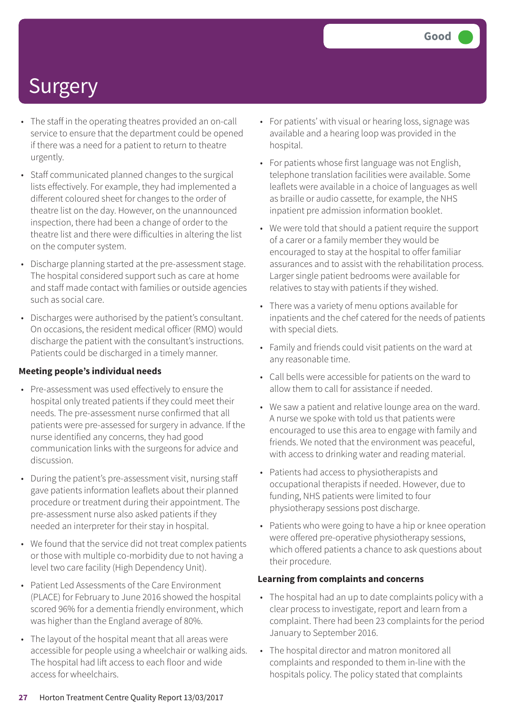- The staff in the operating theatres provided an on-call service to ensure that the department could be opened if there was a need for a patient to return to theatre urgently.
- Staff communicated planned changes to the surgical lists effectively. For example, they had implemented a different coloured sheet for changes to the order of theatre list on the day. However, on the unannounced inspection, there had been a change of order to the theatre list and there were difficulties in altering the list on the computer system.
- Discharge planning started at the pre-assessment stage. The hospital considered support such as care at home and staff made contact with families or outside agencies such as social care.
- Discharges were authorised by the patient's consultant. On occasions, the resident medical officer (RMO) would discharge the patient with the consultant's instructions. Patients could be discharged in a timely manner.

### **Meeting people's individual needs**

- Pre-assessment was used effectively to ensure the hospital only treated patients if they could meet their needs. The pre-assessment nurse confirmed that all patients were pre-assessed for surgery in advance. If the nurse identified any concerns, they had good communication links with the surgeons for advice and discussion.
- During the patient's pre-assessment visit, nursing staff gave patients information leaflets about their planned procedure or treatment during their appointment. The pre-assessment nurse also asked patients if they needed an interpreter for their stay in hospital.
- We found that the service did not treat complex patients or those with multiple co-morbidity due to not having a level two care facility (High Dependency Unit).
- Patient Led Assessments of the Care Environment (PLACE) for February to June 2016 showed the hospital scored 96% for a dementia friendly environment, which was higher than the England average of 80%.
- The layout of the hospital meant that all areas were accessible for people using a wheelchair or walking aids. The hospital had lift access to each floor and wide access for wheelchairs.
- For patients' with visual or hearing loss, signage was available and a hearing loop was provided in the hospital.
- For patients whose first language was not English, telephone translation facilities were available. Some leaflets were available in a choice of languages as well as braille or audio cassette, for example, the NHS inpatient pre admission information booklet.
- We were told that should a patient require the support of a carer or a family member they would be encouraged to stay at the hospital to offer familiar assurances and to assist with the rehabilitation process. Larger single patient bedrooms were available for relatives to stay with patients if they wished.
- There was a variety of menu options available for inpatients and the chef catered for the needs of patients with special diets.
- Family and friends could visit patients on the ward at any reasonable time.
- Call bells were accessible for patients on the ward to allow them to call for assistance if needed.
- We saw a patient and relative lounge area on the ward. A nurse we spoke with told us that patients were encouraged to use this area to engage with family and friends. We noted that the environment was peaceful, with access to drinking water and reading material.
- Patients had access to physiotherapists and occupational therapists if needed. However, due to funding, NHS patients were limited to four physiotherapy sessions post discharge.
- Patients who were going to have a hip or knee operation were offered pre-operative physiotherapy sessions, which offered patients a chance to ask questions about their procedure.

### **Learning from complaints and concerns**

- The hospital had an up to date complaints policy with a clear process to investigate, report and learn from a complaint. There had been 23 complaints for the period January to September 2016.
- The hospital director and matron monitored all complaints and responded to them in-line with the hospitals policy. The policy stated that complaints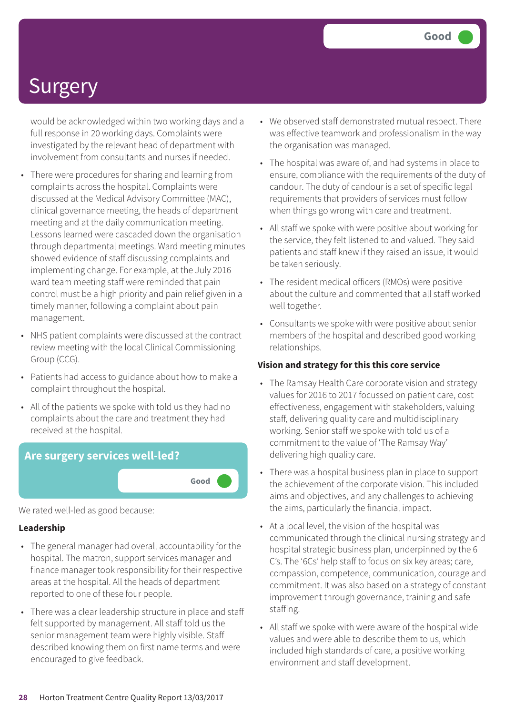would be acknowledged within two working days and a full response in 20 working days. Complaints were investigated by the relevant head of department with involvement from consultants and nurses if needed.

- There were procedures for sharing and learning from complaints across the hospital. Complaints were discussed at the Medical Advisory Committee (MAC), clinical governance meeting, the heads of department meeting and at the daily communication meeting. Lessons learned were cascaded down the organisation through departmental meetings. Ward meeting minutes showed evidence of staff discussing complaints and implementing change. For example, at the July 2016 ward team meeting staff were reminded that pain control must be a high priority and pain relief given in a timely manner, following a complaint about pain management.
- NHS patient complaints were discussed at the contract review meeting with the local Clinical Commissioning Group (CCG).
- Patients had access to guidance about how to make a complaint throughout the hospital.
- All of the patients we spoke with told us they had no complaints about the care and treatment they had received at the hospital.



We rated well-led as good because:

### **Leadership**

- The general manager had overall accountability for the hospital. The matron, support services manager and finance manager took responsibility for their respective areas at the hospital. All the heads of department reported to one of these four people.
- There was a clear leadership structure in place and staff felt supported by management. All staff told us the senior management team were highly visible. Staff described knowing them on first name terms and were encouraged to give feedback.
- We observed staff demonstrated mutual respect. There was effective teamwork and professionalism in the way the organisation was managed.
- The hospital was aware of, and had systems in place to ensure, compliance with the requirements of the duty of candour. The duty of candour is a set of specific legal requirements that providers of services must follow when things go wrong with care and treatment.
- All staff we spoke with were positive about working for the service, they felt listened to and valued. They said patients and staff knew if they raised an issue, it would be taken seriously.
- The resident medical officers (RMOs) were positive about the culture and commented that all staff worked well together.
- Consultants we spoke with were positive about senior members of the hospital and described good working relationships.

### **Vision and strategy for this this core service**

- The Ramsay Health Care corporate vision and strategy values for 2016 to 2017 focussed on patient care, cost effectiveness, engagement with stakeholders, valuing staff, delivering quality care and multidisciplinary working. Senior staff we spoke with told us of a commitment to the value of 'The Ramsay Way' delivering high quality care.
- There was a hospital business plan in place to support the achievement of the corporate vision. This included aims and objectives, and any challenges to achieving the aims, particularly the financial impact.
- At a local level, the vision of the hospital was communicated through the clinical nursing strategy and hospital strategic business plan, underpinned by the 6 C's. The '6Cs' help staff to focus on six key areas; care, compassion, competence, communication, courage and commitment. It was also based on a strategy of constant improvement through governance, training and safe staffing.
- All staff we spoke with were aware of the hospital wide values and were able to describe them to us, which included high standards of care, a positive working environment and staff development.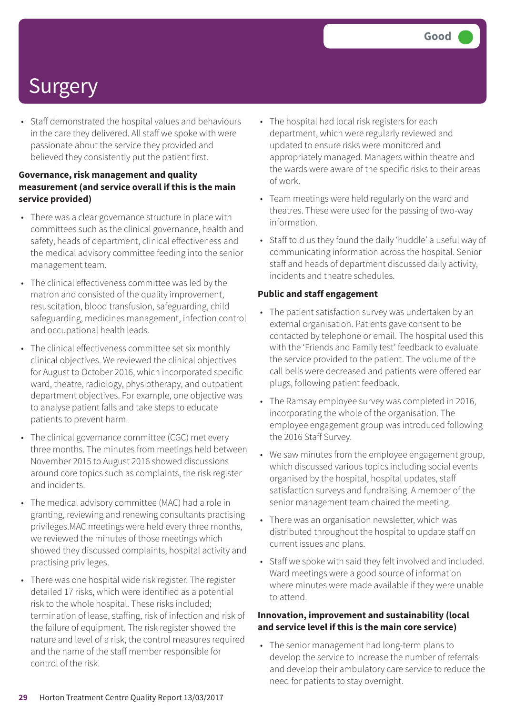• Staff demonstrated the hospital values and behaviours in the care they delivered. All staff we spoke with were passionate about the service they provided and believed they consistently put the patient first.

### **Governance, risk management and quality measurement (and service overall if this is the main service provided)**

- There was a clear governance structure in place with committees such as the clinical governance, health and safety, heads of department, clinical effectiveness and the medical advisory committee feeding into the senior management team.
- The clinical effectiveness committee was led by the matron and consisted of the quality improvement, resuscitation, blood transfusion, safeguarding, child safeguarding, medicines management, infection control and occupational health leads.
- The clinical effectiveness committee set six monthly clinical objectives. We reviewed the clinical objectives for August to October 2016, which incorporated specific ward, theatre, radiology, physiotherapy, and outpatient department objectives. For example, one objective was to analyse patient falls and take steps to educate patients to prevent harm.
- The clinical governance committee (CGC) met every three months. The minutes from meetings held between November 2015 to August 2016 showed discussions around core topics such as complaints, the risk register and incidents.
- The medical advisory committee (MAC) had a role in granting, reviewing and renewing consultants practising privileges.MAC meetings were held every three months, we reviewed the minutes of those meetings which showed they discussed complaints, hospital activity and practising privileges.
- There was one hospital wide risk register. The register detailed 17 risks, which were identified as a potential risk to the whole hospital. These risks included; termination of lease, staffing, risk of infection and risk of the failure of equipment. The risk register showed the nature and level of a risk, the control measures required and the name of the staff member responsible for control of the risk.
- The hospital had local risk registers for each department, which were regularly reviewed and updated to ensure risks were monitored and appropriately managed. Managers within theatre and the wards were aware of the specific risks to their areas of work.
- Team meetings were held regularly on the ward and theatres. These were used for the passing of two-way information.
- Staff told us they found the daily 'huddle' a useful way of communicating information across the hospital. Senior staff and heads of department discussed daily activity, incidents and theatre schedules.

### **Public and staff engagement**

- The patient satisfaction survey was undertaken by an external organisation. Patients gave consent to be contacted by telephone or email. The hospital used this with the 'Friends and Family test' feedback to evaluate the service provided to the patient. The volume of the call bells were decreased and patients were offered ear plugs, following patient feedback.
- The Ramsay employee survey was completed in 2016, incorporating the whole of the organisation. The employee engagement group was introduced following the 2016 Staff Survey.
- We saw minutes from the employee engagement group, which discussed various topics including social events organised by the hospital, hospital updates, staff satisfaction surveys and fundraising. A member of the senior management team chaired the meeting.
- There was an organisation newsletter, which was distributed throughout the hospital to update staff on current issues and plans.
- Staff we spoke with said they felt involved and included. Ward meetings were a good source of information where minutes were made available if they were unable to attend.

### **Innovation, improvement and sustainability (local and service level if this is the main core service)**

• The senior management had long-term plans to develop the service to increase the number of referrals and develop their ambulatory care service to reduce the need for patients to stay overnight.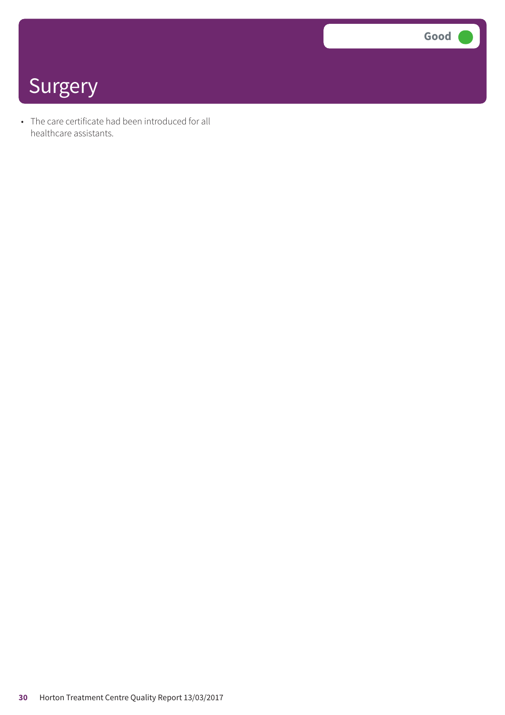**Good –––**

### **Surgery**

• The care certificate had been introduced for all healthcare assistants.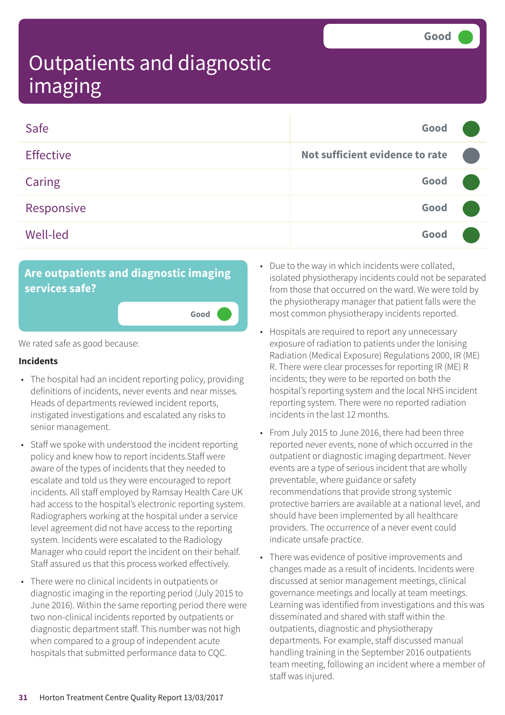| Safe             | Good                            |  |
|------------------|---------------------------------|--|
| <b>Effective</b> | Not sufficient evidence to rate |  |
| Caring           | Good                            |  |
| Responsive       | Good                            |  |
| <b>Well-led</b>  | Good                            |  |

**Good –––**

### **Are outpatients and diagnostic imaging services safe?**

We rated safe as good because:

#### **Incidents**

- The hospital had an incident reporting policy, providing definitions of incidents, never events and near misses. Heads of departments reviewed incident reports, instigated investigations and escalated any risks to senior management.
- Staff we spoke with understood the incident reporting policy and knew how to report incidents.Staff were aware of the types of incidents that they needed to escalate and told us they were encouraged to report incidents. All staff employed by Ramsay Health Care UK had access to the hospital's electronic reporting system. Radiographers working at the hospital under a service level agreement did not have access to the reporting system. Incidents were escalated to the Radiology Manager who could report the incident on their behalf. Staff assured us that this process worked effectively.
- There were no clinical incidents in outpatients or diagnostic imaging in the reporting period (July 2015 to June 2016). Within the same reporting period there were two non-clinical incidents reported by outpatients or diagnostic department staff. This number was not high when compared to a group of independent acute hospitals that submitted performance data to CQC.
- Due to the way in which incidents were collated, isolated physiotherapy incidents could not be separated from those that occurred on the ward. We were told by the physiotherapy manager that patient falls were the most common physiotherapy incidents reported.
- Hospitals are required to report any unnecessary exposure of radiation to patients under the Ionising Radiation (Medical Exposure) Regulations 2000, IR (ME) R. There were clear processes for reporting IR (ME) R incidents; they were to be reported on both the hospital's reporting system and the local NHS incident reporting system. There were no reported radiation incidents in the last 12 months.
- From July 2015 to June 2016, there had been three reported never events, none of which occurred in the outpatient or diagnostic imaging department. Never events are a type of serious incident that are wholly preventable, where guidance or safety recommendations that provide strong systemic protective barriers are available at a national level, and should have been implemented by all healthcare providers. The occurrence of a never event could indicate unsafe practice.
- There was evidence of positive improvements and changes made as a result of incidents. Incidents were discussed at senior management meetings, clinical governance meetings and locally at team meetings. Learning was identified from investigations and this was disseminated and shared with staff within the outpatients, diagnostic and physiotherapy departments. For example, staff discussed manual handling training in the September 2016 outpatients team meeting, following an incident where a member of staff was injured.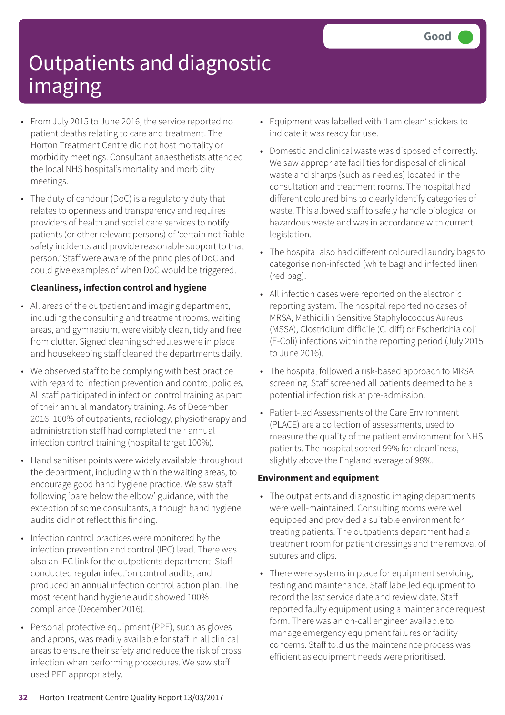- From July 2015 to June 2016, the service reported no patient deaths relating to care and treatment. The Horton Treatment Centre did not host mortality or morbidity meetings. Consultant anaesthetists attended the local NHS hospital's mortality and morbidity meetings.
- The duty of candour (DoC) is a regulatory duty that relates to openness and transparency and requires providers of health and social care services to notify patients (or other relevant persons) of 'certain notifiable safety incidents and provide reasonable support to that person.' Staff were aware of the principles of DoC and could give examples of when DoC would be triggered.

### **Cleanliness, infection control and hygiene**

- All areas of the outpatient and imaging department, including the consulting and treatment rooms, waiting areas, and gymnasium, were visibly clean, tidy and free from clutter. Signed cleaning schedules were in place and housekeeping staff cleaned the departments daily.
- We observed staff to be complying with best practice with regard to infection prevention and control policies. All staff participated in infection control training as part of their annual mandatory training. As of December 2016, 100% of outpatients, radiology, physiotherapy and administration staff had completed their annual infection control training (hospital target 100%).
- Hand sanitiser points were widely available throughout the department, including within the waiting areas, to encourage good hand hygiene practice. We saw staff following 'bare below the elbow' guidance, with the exception of some consultants, although hand hygiene audits did not reflect this finding.
- Infection control practices were monitored by the infection prevention and control (IPC) lead. There was also an IPC link for the outpatients department. Staff conducted regular infection control audits, and produced an annual infection control action plan. The most recent hand hygiene audit showed 100% compliance (December 2016).
- Personal protective equipment (PPE), such as gloves and aprons, was readily available for staff in all clinical areas to ensure their safety and reduce the risk of cross infection when performing procedures. We saw staff used PPE appropriately.
- Equipment was labelled with 'I am clean' stickers to indicate it was ready for use.
- Domestic and clinical waste was disposed of correctly. We saw appropriate facilities for disposal of clinical waste and sharps (such as needles) located in the consultation and treatment rooms. The hospital had different coloured bins to clearly identify categories of waste. This allowed staff to safely handle biological or hazardous waste and was in accordance with current legislation.
- The hospital also had different coloured laundry bags to categorise non-infected (white bag) and infected linen (red bag).
- All infection cases were reported on the electronic reporting system. The hospital reported no cases of MRSA, Methicillin Sensitive Staphylococcus Aureus (MSSA), Clostridium difficile (C. diff) or Escherichia coli (E-Coli) infections within the reporting period (July 2015 to June 2016).
- The hospital followed a risk-based approach to MRSA screening. Staff screened all patients deemed to be a potential infection risk at pre-admission.
- Patient-led Assessments of the Care Environment (PLACE) are a collection of assessments, used to measure the quality of the patient environment for NHS patients. The hospital scored 99% for cleanliness, slightly above the England average of 98%.

### **Environment and equipment**

- The outpatients and diagnostic imaging departments were well-maintained. Consulting rooms were well equipped and provided a suitable environment for treating patients. The outpatients department had a treatment room for patient dressings and the removal of sutures and clips.
- There were systems in place for equipment servicing, testing and maintenance. Staff labelled equipment to record the last service date and review date. Staff reported faulty equipment using a maintenance request form. There was an on-call engineer available to manage emergency equipment failures or facility concerns. Staff told us the maintenance process was efficient as equipment needs were prioritised.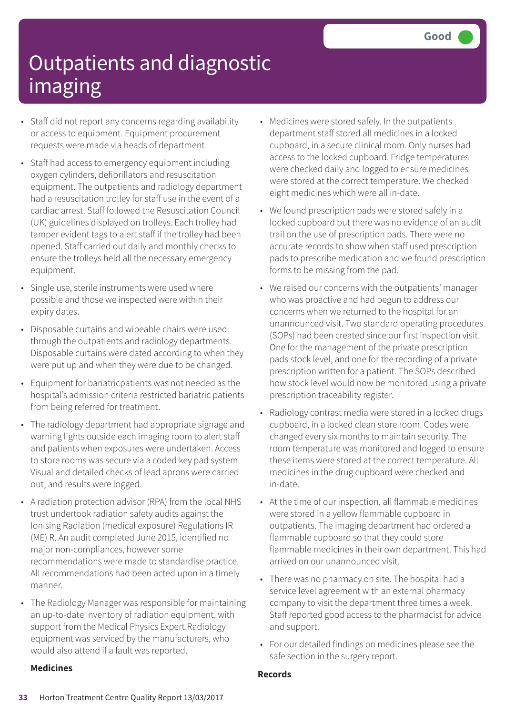- Staff did not report any concerns regarding availability or access to equipment. Equipment procurement requests were made via heads of department.
- Staff had access to emergency equipment including oxygen cylinders, defibrillators and resuscitation equipment. The outpatients and radiology department had a resuscitation trolley for staff use in the event of a cardiac arrest. Staff followed the Resuscitation Council (UK) guidelines displayed on trolleys. Each trolley had tamper evident tags to alert staff if the trolley had been opened. Staff carried out daily and monthly checks to ensure the trolleys held all the necessary emergency equipment.
- Single use, sterile instruments were used where possible and those we inspected were within their expiry dates.
- Disposable curtains and wipeable chairs were used through the outpatients and radiology departments. Disposable curtains were dated according to when they were put up and when they were due to be changed.
- Equipment for bariatricpatients was not needed as the hospital's admission criteria restricted bariatric patients from being referred for treatment.
- The radiology department had appropriate signage and warning lights outside each imaging room to alert staff and patients when exposures were undertaken. Access to store rooms was secure via a coded key pad system. Visual and detailed checks of lead aprons were carried out, and results were logged.
- A radiation protection advisor (RPA) from the local NHS trust undertook radiation safety audits against the Ionising Radiation (medical exposure) Regulations IR (ME) R. An audit completed June 2015, identified no major non-compliances, however some recommendations were made to standardise practice. All recommendations had been acted upon in a timely manner.
- The Radiology Manager was responsible for maintaining an up-to-date inventory of radiation equipment, with support from the Medical Physics Expert.Radiology equipment was serviced by the manufacturers, who would also attend if a fault was reported.

#### **Medicines**

- Medicines were stored safely. In the outpatients department staff stored all medicines in a locked cupboard, in a secure clinical room. Only nurses had access to the locked cupboard. Fridge temperatures were checked daily and logged to ensure medicines were stored at the correct temperature. We checked eight medicines which were all in-date.
- We found prescription pads were stored safely in a locked cupboard but there was no evidence of an audit trail on the use of prescription pads. There were no accurate records to show when staff used prescription pads to prescribe medication and we found prescription forms to be missing from the pad.
- We raised our concerns with the outpatients' manager who was proactive and had begun to address our concerns when we returned to the hospital for an unannounced visit. Two standard operating procedures (SOPs) had been created since our first inspection visit. One for the management of the private prescription pads stock level, and one for the recording of a private prescription written for a patient. The SOPs described how stock level would now be monitored using a private prescription traceability register.
- Radiology contrast media were stored in a locked drugs cupboard, in a locked clean store room. Codes were changed every six months to maintain security. The room temperature was monitored and logged to ensure these items were stored at the correct temperature. All medicines in the drug cupboard were checked and in-date.
- At the time of our inspection, all flammable medicines were stored in a yellow flammable cupboard in outpatients. The imaging department had ordered a flammable cupboard so that they could store flammable medicines in their own department. This had arrived on our unannounced visit.
- There was no pharmacy on site. The hospital had a service level agreement with an external pharmacy company to visit the department three times a week. Staff reported good access to the pharmacist for advice and support.
- For our detailed findings on medicines please see the safe section in the surgery report.

#### **Records**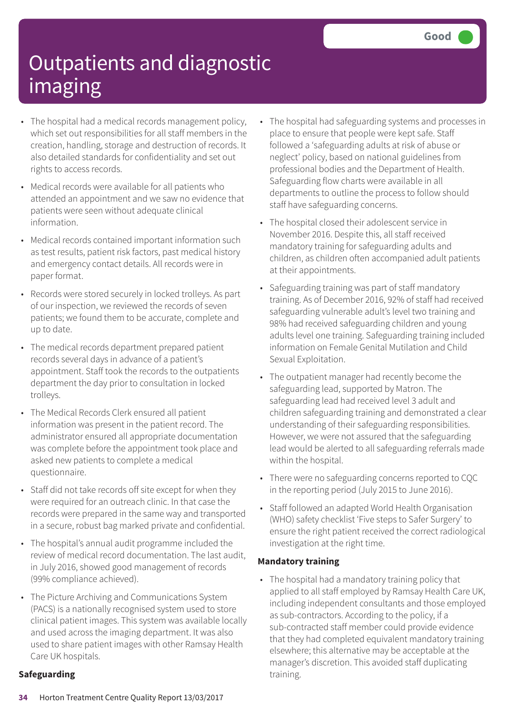- The hospital had a medical records management policy, which set out responsibilities for all staff members in the creation, handling, storage and destruction of records. It also detailed standards for confidentiality and set out rights to access records.
- Medical records were available for all patients who attended an appointment and we saw no evidence that patients were seen without adequate clinical information.
- Medical records contained important information such as test results, patient risk factors, past medical history and emergency contact details. All records were in paper format.
- Records were stored securely in locked trolleys. As part of our inspection, we reviewed the records of seven patients; we found them to be accurate, complete and up to date.
- The medical records department prepared patient records several days in advance of a patient's appointment. Staff took the records to the outpatients department the day prior to consultation in locked trolleys.
- The Medical Records Clerk ensured all patient information was present in the patient record. The administrator ensured all appropriate documentation was complete before the appointment took place and asked new patients to complete a medical questionnaire.
- Staff did not take records off site except for when they were required for an outreach clinic. In that case the records were prepared in the same way and transported in a secure, robust bag marked private and confidential.
- The hospital's annual audit programme included the review of medical record documentation. The last audit, in July 2016, showed good management of records (99% compliance achieved).
- The Picture Archiving and Communications System (PACS) is a nationally recognised system used to store clinical patient images. This system was available locally and used across the imaging department. It was also used to share patient images with other Ramsay Health Care UK hospitals.

### **Safeguarding**

- The hospital had safeguarding systems and processes in place to ensure that people were kept safe. Staff followed a 'safeguarding adults at risk of abuse or neglect' policy, based on national guidelines from professional bodies and the Department of Health. Safeguarding flow charts were available in all departments to outline the process to follow should staff have safeguarding concerns.
- The hospital closed their adolescent service in November 2016. Despite this, all staff received mandatory training for safeguarding adults and children, as children often accompanied adult patients at their appointments.
- Safeguarding training was part of staff mandatory training. As of December 2016, 92% of staff had received safeguarding vulnerable adult's level two training and 98% had received safeguarding children and young adults level one training. Safeguarding training included information on Female Genital Mutilation and Child Sexual Exploitation.
- The outpatient manager had recently become the safeguarding lead, supported by Matron. The safeguarding lead had received level 3 adult and children safeguarding training and demonstrated a clear understanding of their safeguarding responsibilities. However, we were not assured that the safeguarding lead would be alerted to all safeguarding referrals made within the hospital.
- There were no safeguarding concerns reported to CQC in the reporting period (July 2015 to June 2016).
- Staff followed an adapted World Health Organisation (WHO) safety checklist 'Five steps to Safer Surgery' to ensure the right patient received the correct radiological investigation at the right time.

### **Mandatory training**

• The hospital had a mandatory training policy that applied to all staff employed by Ramsay Health Care UK, including independent consultants and those employed as sub-contractors. According to the policy, if a sub-contracted staff member could provide evidence that they had completed equivalent mandatory training elsewhere; this alternative may be acceptable at the manager's discretion. This avoided staff duplicating training.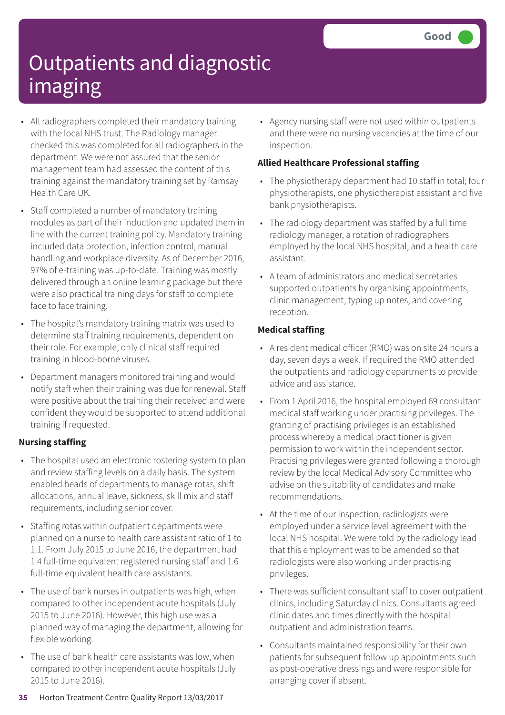- All radiographers completed their mandatory training with the local NHS trust. The Radiology manager checked this was completed for all radiographers in the department. We were not assured that the senior management team had assessed the content of this training against the mandatory training set by Ramsay Health Care UK.
- Staff completed a number of mandatory training modules as part of their induction and updated them in line with the current training policy. Mandatory training included data protection, infection control, manual handling and workplace diversity. As of December 2016, 97% of e-training was up-to-date. Training was mostly delivered through an online learning package but there were also practical training days for staff to complete face to face training.
- The hospital's mandatory training matrix was used to determine staff training requirements, dependent on their role. For example, only clinical staff required training in blood-borne viruses.
- Department managers monitored training and would notify staff when their training was due for renewal. Staff were positive about the training their received and were confident they would be supported to attend additional training if requested.

### **Nursing staffing**

- The hospital used an electronic rostering system to plan and review staffing levels on a daily basis. The system enabled heads of departments to manage rotas, shift allocations, annual leave, sickness, skill mix and staff requirements, including senior cover.
- Staffing rotas within outpatient departments were planned on a nurse to health care assistant ratio of 1 to 1.1. From July 2015 to June 2016, the department had 1.4 full-time equivalent registered nursing staff and 1.6 full-time equivalent health care assistants.
- The use of bank nurses in outpatients was high, when compared to other independent acute hospitals (July 2015 to June 2016). However, this high use was a planned way of managing the department, allowing for flexible working.
- The use of bank health care assistants was low, when compared to other independent acute hospitals (July 2015 to June 2016).

• Agency nursing staff were not used within outpatients and there were no nursing vacancies at the time of our inspection.

### **Allied Healthcare Professional staffing**

- The physiotherapy department had 10 staff in total; four physiotherapists, one physiotherapist assistant and five bank physiotherapists.
- The radiology department was staffed by a full time radiology manager, a rotation of radiographers employed by the local NHS hospital, and a health care assistant.
- A team of administrators and medical secretaries supported outpatients by organising appointments, clinic management, typing up notes, and covering reception.

### **Medical staffing**

- A resident medical officer (RMO) was on site 24 hours a day, seven days a week. If required the RMO attended the outpatients and radiology departments to provide advice and assistance.
- From 1 April 2016, the hospital employed 69 consultant medical staff working under practising privileges. The granting of practising privileges is an established process whereby a medical practitioner is given permission to work within the independent sector. Practising privileges were granted following a thorough review by the local Medical Advisory Committee who advise on the suitability of candidates and make recommendations.
- At the time of our inspection, radiologists were employed under a service level agreement with the local NHS hospital. We were told by the radiology lead that this employment was to be amended so that radiologists were also working under practising privileges.
- There was sufficient consultant staff to cover outpatient clinics, including Saturday clinics. Consultants agreed clinic dates and times directly with the hospital outpatient and administration teams.
- Consultants maintained responsibility for their own patients for subsequent follow up appointments such as post-operative dressings and were responsible for arranging cover if absent.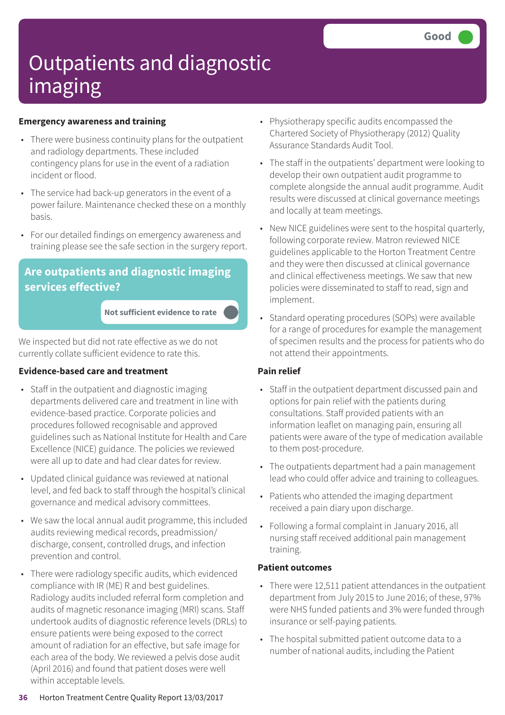### **Emergency awareness and training**

- There were business continuity plans for the outpatient and radiology departments. These included contingency plans for use in the event of a radiation incident or flood.
- The service had back-up generators in the event of a power failure. Maintenance checked these on a monthly basis.
- For our detailed findings on emergency awareness and training please see the safe section in the surgery report.

### **Are outpatients and diagnostic imaging services effective?**

**Not sufficient evidence to rate –––**

We inspected but did not rate effective as we do not currently collate sufficient evidence to rate this.

### **Evidence-based care and treatment**

- Staff in the outpatient and diagnostic imaging departments delivered care and treatment in line with evidence-based practice. Corporate policies and procedures followed recognisable and approved guidelines such as National Institute for Health and Care Excellence (NICE) guidance. The policies we reviewed were all up to date and had clear dates for review.
- Updated clinical guidance was reviewed at national level, and fed back to staff through the hospital's clinical governance and medical advisory committees.
- We saw the local annual audit programme, this included audits reviewing medical records, preadmission/ discharge, consent, controlled drugs, and infection prevention and control.
- There were radiology specific audits, which evidenced compliance with IR (ME) R and best guidelines. Radiology audits included referral form completion and audits of magnetic resonance imaging (MRI) scans. Staff undertook audits of diagnostic reference levels (DRLs) to ensure patients were being exposed to the correct amount of radiation for an effective, but safe image for each area of the body. We reviewed a pelvis dose audit (April 2016) and found that patient doses were well within acceptable levels.
- Physiotherapy specific audits encompassed the Chartered Society of Physiotherapy (2012) Quality Assurance Standards Audit Tool.
- The staff in the outpatients' department were looking to develop their own outpatient audit programme to complete alongside the annual audit programme. Audit results were discussed at clinical governance meetings and locally at team meetings.
- New NICE guidelines were sent to the hospital quarterly, following corporate review. Matron reviewed NICE guidelines applicable to the Horton Treatment Centre and they were then discussed at clinical governance and clinical effectiveness meetings. We saw that new policies were disseminated to staff to read, sign and implement.
- Standard operating procedures (SOPs) were available for a range of procedures for example the management of specimen results and the process for patients who do not attend their appointments.

### **Pain relief**

- Staff in the outpatient department discussed pain and options for pain relief with the patients during consultations. Staff provided patients with an information leaflet on managing pain, ensuring all patients were aware of the type of medication available to them post-procedure.
- The outpatients department had a pain management lead who could offer advice and training to colleagues.
- Patients who attended the imaging department received a pain diary upon discharge.
- Following a formal complaint in January 2016, all nursing staff received additional pain management training.

### **Patient outcomes**

- There were 12,511 patient attendances in the outpatient department from July 2015 to June 2016; of these, 97% were NHS funded patients and 3% were funded through insurance or self-paying patients.
- The hospital submitted patient outcome data to a number of national audits, including the Patient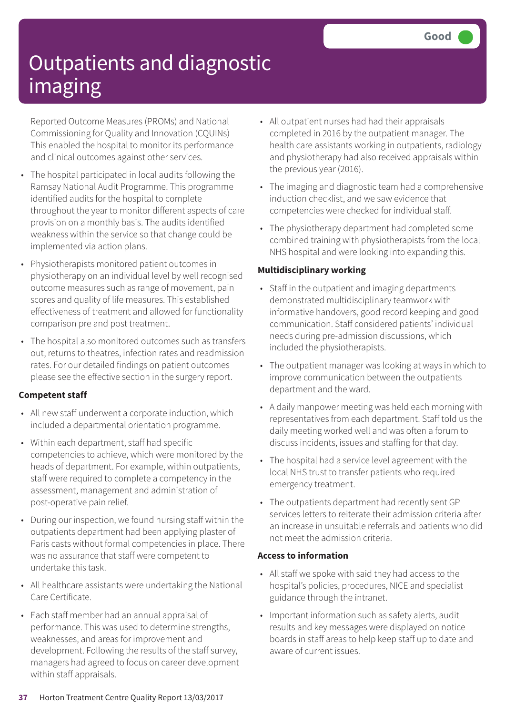Reported Outcome Measures (PROMs) and National Commissioning for Quality and Innovation (CQUINs) This enabled the hospital to monitor its performance and clinical outcomes against other services.

- The hospital participated in local audits following the Ramsay National Audit Programme. This programme identified audits for the hospital to complete throughout the year to monitor different aspects of care provision on a monthly basis. The audits identified weakness within the service so that change could be implemented via action plans.
- Physiotherapists monitored patient outcomes in physiotherapy on an individual level by well recognised outcome measures such as range of movement, pain scores and quality of life measures. This established effectiveness of treatment and allowed for functionality comparison pre and post treatment.
- The hospital also monitored outcomes such as transfers out, returns to theatres, infection rates and readmission rates. For our detailed findings on patient outcomes please see the effective section in the surgery report.

### **Competent staff**

- All new staff underwent a corporate induction, which included a departmental orientation programme.
- Within each department, staff had specific competencies to achieve, which were monitored by the heads of department. For example, within outpatients, staff were required to complete a competency in the assessment, management and administration of post-operative pain relief.
- During our inspection, we found nursing staff within the outpatients department had been applying plaster of Paris casts without formal competencies in place. There was no assurance that staff were competent to undertake this task.
- All healthcare assistants were undertaking the National Care Certificate.
- Each staff member had an annual appraisal of performance. This was used to determine strengths, weaknesses, and areas for improvement and development. Following the results of the staff survey, managers had agreed to focus on career development within staff appraisals.
- All outpatient nurses had had their appraisals completed in 2016 by the outpatient manager. The health care assistants working in outpatients, radiology and physiotherapy had also received appraisals within the previous year (2016).
- The imaging and diagnostic team had a comprehensive induction checklist, and we saw evidence that competencies were checked for individual staff.
- The physiotherapy department had completed some combined training with physiotherapists from the local NHS hospital and were looking into expanding this.

### **Multidisciplinary working**

- Staff in the outpatient and imaging departments demonstrated multidisciplinary teamwork with informative handovers, good record keeping and good communication. Staff considered patients' individual needs during pre-admission discussions, which included the physiotherapists.
- The outpatient manager was looking at ways in which to improve communication between the outpatients department and the ward.
- A daily manpower meeting was held each morning with representatives from each department. Staff told us the daily meeting worked well and was often a forum to discuss incidents, issues and staffing for that day.
- The hospital had a service level agreement with the local NHS trust to transfer patients who required emergency treatment.
- The outpatients department had recently sent GP services letters to reiterate their admission criteria after an increase in unsuitable referrals and patients who did not meet the admission criteria.

### **Access to information**

- All staff we spoke with said they had access to the hospital's policies, procedures, NICE and specialist guidance through the intranet.
- Important information such as safety alerts, audit results and key messages were displayed on notice boards in staff areas to help keep staff up to date and aware of current issues.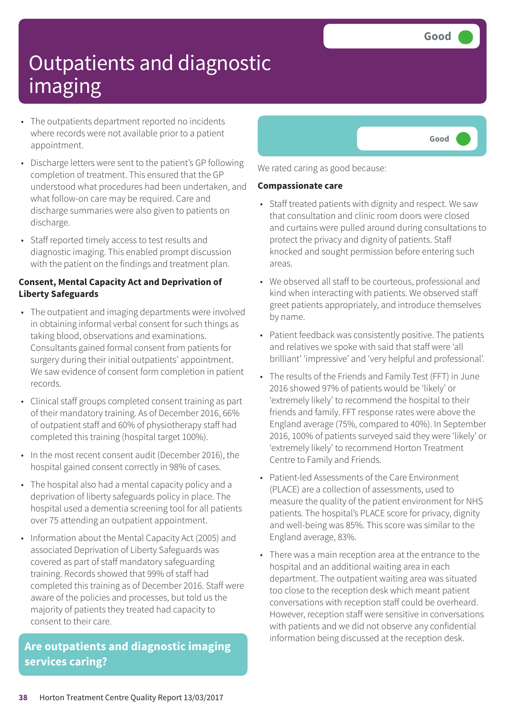- The outpatients department reported no incidents where records were not available prior to a patient appointment.
- Discharge letters were sent to the patient's GP following completion of treatment. This ensured that the GP understood what procedures had been undertaken, and what follow-on care may be required. Care and discharge summaries were also given to patients on discharge.
- Staff reported timely access to test results and diagnostic imaging. This enabled prompt discussion with the patient on the findings and treatment plan.

### **Consent, Mental Capacity Act and Deprivation of Liberty Safeguards**

- The outpatient and imaging departments were involved in obtaining informal verbal consent for such things as taking blood, observations and examinations. Consultants gained formal consent from patients for surgery during their initial outpatients' appointment. We saw evidence of consent form completion in patient records.
- Clinical staff groups completed consent training as part of their mandatory training. As of December 2016, 66% of outpatient staff and 60% of physiotherapy staff had completed this training (hospital target 100%).
- In the most recent consent audit (December 2016), the hospital gained consent correctly in 98% of cases.
- The hospital also had a mental capacity policy and a deprivation of liberty safeguards policy in place. The hospital used a dementia screening tool for all patients over 75 attending an outpatient appointment.
- Information about the Mental Capacity Act (2005) and associated Deprivation of Liberty Safeguards was covered as part of staff mandatory safeguarding training. Records showed that 99% of staff had completed this training as of December 2016. Staff were aware of the policies and processes, but told us the majority of patients they treated had capacity to consent to their care.

### **Are outpatients and diagnostic imaging services caring?**



We rated caring as good because:

#### **Compassionate care**

- Staff treated patients with dignity and respect. We saw that consultation and clinic room doors were closed and curtains were pulled around during consultations to protect the privacy and dignity of patients. Staff knocked and sought permission before entering such areas.
- We observed all staff to be courteous, professional and kind when interacting with patients. We observed staff greet patients appropriately, and introduce themselves by name.
- Patient feedback was consistently positive. The patients and relatives we spoke with said that staff were 'all brilliant' 'impressive' and 'very helpful and professional'.
- The results of the Friends and Family Test (FFT) in June 2016 showed 97% of patients would be 'likely' or 'extremely likely' to recommend the hospital to their friends and family. FFT response rates were above the England average (75%, compared to 40%). In September 2016, 100% of patients surveyed said they were 'likely' or 'extremely likely' to recommend Horton Treatment Centre to Family and Friends.
- Patient-led Assessments of the Care Environment (PLACE) are a collection of assessments, used to measure the quality of the patient environment for NHS patients. The hospital's PLACE score for privacy, dignity and well-being was 85%. This score was similar to the England average, 83%.
- There was a main reception area at the entrance to the hospital and an additional waiting area in each department. The outpatient waiting area was situated too close to the reception desk which meant patient conversations with reception staff could be overheard. However, reception staff were sensitive in conversations with patients and we did not observe any confidential information being discussed at the reception desk.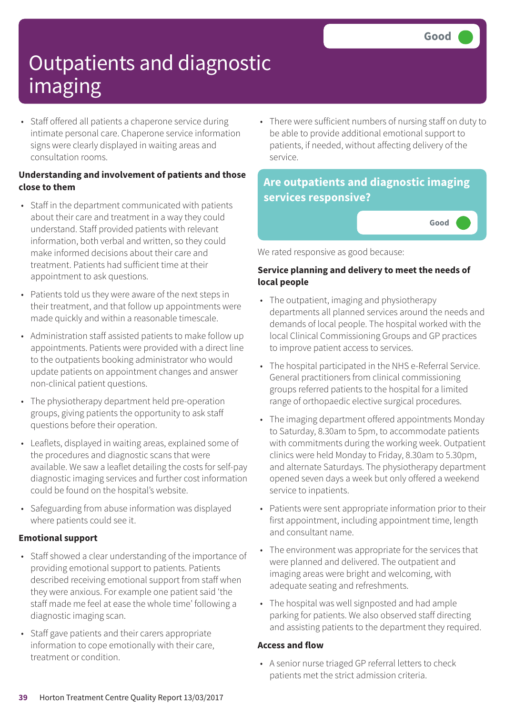• Staff offered all patients a chaperone service during intimate personal care. Chaperone service information signs were clearly displayed in waiting areas and consultation rooms.

### **Understanding and involvement of patients and those close to them**

- Staff in the department communicated with patients about their care and treatment in a way they could understand. Staff provided patients with relevant information, both verbal and written, so they could make informed decisions about their care and treatment. Patients had sufficient time at their appointment to ask questions.
- Patients told us they were aware of the next steps in their treatment, and that follow up appointments were made quickly and within a reasonable timescale.
- Administration staff assisted patients to make follow up appointments. Patients were provided with a direct line to the outpatients booking administrator who would update patients on appointment changes and answer non-clinical patient questions.
- The physiotherapy department held pre-operation groups, giving patients the opportunity to ask staff questions before their operation.
- Leaflets, displayed in waiting areas, explained some of the procedures and diagnostic scans that were available. We saw a leaflet detailing the costs for self-pay diagnostic imaging services and further cost information could be found on the hospital's website.
- Safeguarding from abuse information was displayed where patients could see it.

### **Emotional support**

- Staff showed a clear understanding of the importance of providing emotional support to patients. Patients described receiving emotional support from staff when they were anxious. For example one patient said 'the staff made me feel at ease the whole time' following a diagnostic imaging scan.
- Staff gave patients and their carers appropriate information to cope emotionally with their care, treatment or condition.

• There were sufficient numbers of nursing staff on duty to be able to provide additional emotional support to patients, if needed, without affecting delivery of the service.

### **Are outpatients and diagnostic imaging services responsive?**

**Good –––**

We rated responsive as good because:

### **Service planning and delivery to meet the needs of local people**

- The outpatient, imaging and physiotherapy departments all planned services around the needs and demands of local people. The hospital worked with the local Clinical Commissioning Groups and GP practices to improve patient access to services.
- The hospital participated in the NHS e-Referral Service. General practitioners from clinical commissioning groups referred patients to the hospital for a limited range of orthopaedic elective surgical procedures.
- The imaging department offered appointments Monday to Saturday, 8.30am to 5pm, to accommodate patients with commitments during the working week. Outpatient clinics were held Monday to Friday, 8.30am to 5.30pm, and alternate Saturdays. The physiotherapy department opened seven days a week but only offered a weekend service to inpatients.
- Patients were sent appropriate information prior to their first appointment, including appointment time, length and consultant name.
- The environment was appropriate for the services that were planned and delivered. The outpatient and imaging areas were bright and welcoming, with adequate seating and refreshments.
- The hospital was well signposted and had ample parking for patients. We also observed staff directing and assisting patients to the department they required.

### **Access and flow**

• A senior nurse triaged GP referral letters to check patients met the strict admission criteria.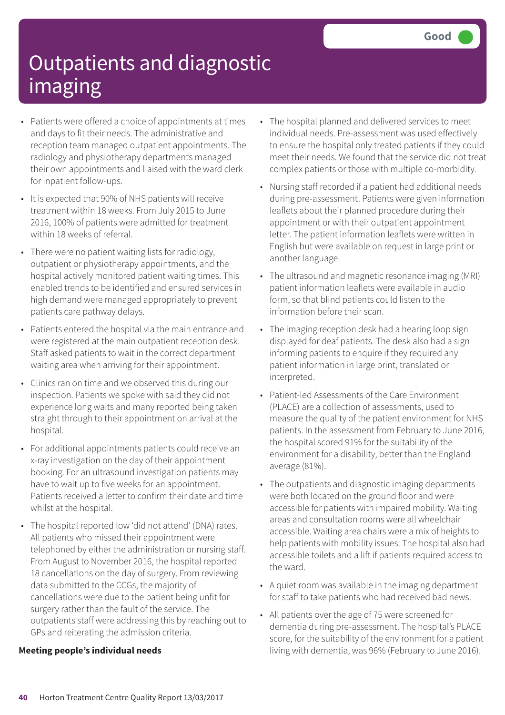- Patients were offered a choice of appointments at times and days to fit their needs. The administrative and reception team managed outpatient appointments. The radiology and physiotherapy departments managed their own appointments and liaised with the ward clerk for inpatient follow-ups.
- It is expected that 90% of NHS patients will receive treatment within 18 weeks. From July 2015 to June 2016, 100% of patients were admitted for treatment within 18 weeks of referral.
- There were no patient waiting lists for radiology, outpatient or physiotherapy appointments, and the hospital actively monitored patient waiting times. This enabled trends to be identified and ensured services in high demand were managed appropriately to prevent patients care pathway delays.
- Patients entered the hospital via the main entrance and were registered at the main outpatient reception desk. Staff asked patients to wait in the correct department waiting area when arriving for their appointment.
- Clinics ran on time and we observed this during our inspection. Patients we spoke with said they did not experience long waits and many reported being taken straight through to their appointment on arrival at the hospital.
- For additional appointments patients could receive an x-ray investigation on the day of their appointment booking. For an ultrasound investigation patients may have to wait up to five weeks for an appointment. Patients received a letter to confirm their date and time whilst at the hospital.
- The hospital reported low 'did not attend' (DNA) rates. All patients who missed their appointment were telephoned by either the administration or nursing staff. From August to November 2016, the hospital reported 18 cancellations on the day of surgery. From reviewing data submitted to the CCGs, the majority of cancellations were due to the patient being unfit for surgery rather than the fault of the service. The outpatients staff were addressing this by reaching out to GPs and reiterating the admission criteria.

#### **Meeting people's individual needs**

- The hospital planned and delivered services to meet individual needs. Pre-assessment was used effectively to ensure the hospital only treated patients if they could meet their needs. We found that the service did not treat complex patients or those with multiple co-morbidity.
- Nursing staff recorded if a patient had additional needs during pre-assessment. Patients were given information leaflets about their planned procedure during their appointment or with their outpatient appointment letter. The patient information leaflets were written in English but were available on request in large print or another language.
- The ultrasound and magnetic resonance imaging (MRI) patient information leaflets were available in audio form, so that blind patients could listen to the information before their scan.
- The imaging reception desk had a hearing loop sign displayed for deaf patients. The desk also had a sign informing patients to enquire if they required any patient information in large print, translated or interpreted.
- Patient-led Assessments of the Care Environment (PLACE) are a collection of assessments, used to measure the quality of the patient environment for NHS patients. In the assessment from February to June 2016, the hospital scored 91% for the suitability of the environment for a disability, better than the England average (81%).
- The outpatients and diagnostic imaging departments were both located on the ground floor and were accessible for patients with impaired mobility. Waiting areas and consultation rooms were all wheelchair accessible. Waiting area chairs were a mix of heights to help patients with mobility issues. The hospital also had accessible toilets and a lift if patients required access to the ward.
- A quiet room was available in the imaging department for staff to take patients who had received bad news.
- All patients over the age of 75 were screened for dementia during pre-assessment. The hospital's PLACE score, for the suitability of the environment for a patient living with dementia, was 96% (February to June 2016).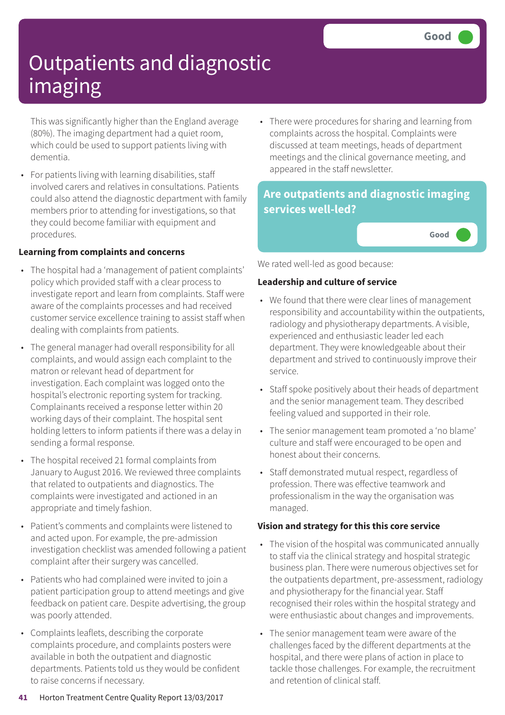This was significantly higher than the England average (80%). The imaging department had a quiet room, which could be used to support patients living with dementia.

• For patients living with learning disabilities, staff involved carers and relatives in consultations. Patients could also attend the diagnostic department with family members prior to attending for investigations, so that they could become familiar with equipment and procedures.

### **Learning from complaints and concerns**

- The hospital had a 'management of patient complaints' policy which provided staff with a clear process to investigate report and learn from complaints. Staff were aware of the complaints processes and had received customer service excellence training to assist staff when dealing with complaints from patients.
- The general manager had overall responsibility for all complaints, and would assign each complaint to the matron or relevant head of department for investigation. Each complaint was logged onto the hospital's electronic reporting system for tracking. Complainants received a response letter within 20 working days of their complaint. The hospital sent holding letters to inform patients if there was a delay in sending a formal response.
- The hospital received 21 formal complaints from January to August 2016. We reviewed three complaints that related to outpatients and diagnostics. The complaints were investigated and actioned in an appropriate and timely fashion.
- Patient's comments and complaints were listened to and acted upon. For example, the pre-admission investigation checklist was amended following a patient complaint after their surgery was cancelled.
- Patients who had complained were invited to join a patient participation group to attend meetings and give feedback on patient care. Despite advertising, the group was poorly attended.
- Complaints leaflets, describing the corporate complaints procedure, and complaints posters were available in both the outpatient and diagnostic departments. Patients told us they would be confident to raise concerns if necessary.

• There were procedures for sharing and learning from complaints across the hospital. Complaints were discussed at team meetings, heads of department meetings and the clinical governance meeting, and appeared in the staff newsletter.

### **Are outpatients and diagnostic imaging services well-led?**

**Good –––**

We rated well-led as good because:

### **Leadership and culture of service**

- We found that there were clear lines of management responsibility and accountability within the outpatients, radiology and physiotherapy departments. A visible, experienced and enthusiastic leader led each department. They were knowledgeable about their department and strived to continuously improve their service.
- Staff spoke positively about their heads of department and the senior management team. They described feeling valued and supported in their role.
- The senior management team promoted a 'no blame' culture and staff were encouraged to be open and honest about their concerns.
- Staff demonstrated mutual respect, regardless of profession. There was effective teamwork and professionalism in the way the organisation was managed.

### **Vision and strategy for this this core service**

- The vision of the hospital was communicated annually to staff via the clinical strategy and hospital strategic business plan. There were numerous objectives set for the outpatients department, pre-assessment, radiology and physiotherapy for the financial year. Staff recognised their roles within the hospital strategy and were enthusiastic about changes and improvements.
- The senior management team were aware of the challenges faced by the different departments at the hospital, and there were plans of action in place to tackle those challenges. For example, the recruitment and retention of clinical staff.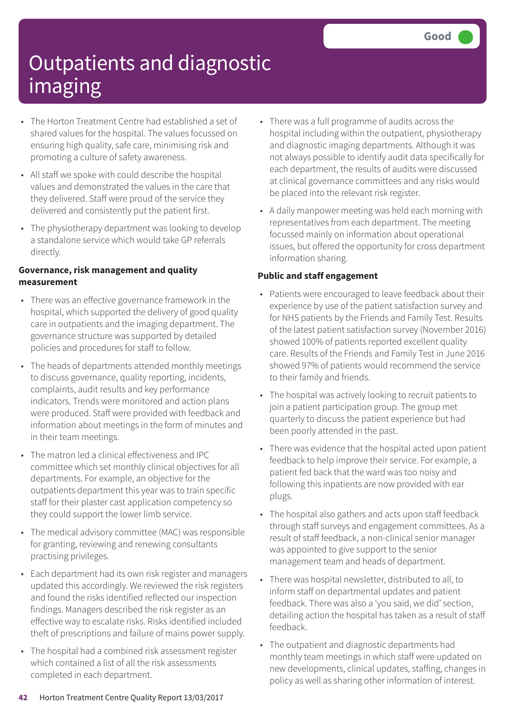- The Horton Treatment Centre had established a set of shared values for the hospital. The values focussed on ensuring high quality, safe care, minimising risk and promoting a culture of safety awareness.
- All staff we spoke with could describe the hospital values and demonstrated the values in the care that they delivered. Staff were proud of the service they delivered and consistently put the patient first.
- The physiotherapy department was looking to develop a standalone service which would take GP referrals directly.

### **Governance, risk management and quality measurement**

- There was an effective governance framework in the hospital, which supported the delivery of good quality care in outpatients and the imaging department. The governance structure was supported by detailed policies and procedures for staff to follow.
- The heads of departments attended monthly meetings to discuss governance, quality reporting, incidents, complaints, audit results and key performance indicators. Trends were monitored and action plans were produced. Staff were provided with feedback and information about meetings in the form of minutes and in their team meetings.
- The matron led a clinical effectiveness and IPC committee which set monthly clinical objectives for all departments. For example, an objective for the outpatients department this year was to train specific staff for their plaster cast application competency so they could support the lower limb service.
- The medical advisory committee (MAC) was responsible for granting, reviewing and renewing consultants practising privileges.
- Each department had its own risk register and managers updated this accordingly. We reviewed the risk registers and found the risks identified reflected our inspection findings. Managers described the risk register as an effective way to escalate risks. Risks identified included theft of prescriptions and failure of mains power supply.
- The hospital had a combined risk assessment register which contained a list of all the risk assessments completed in each department.
- There was a full programme of audits across the hospital including within the outpatient, physiotherapy and diagnostic imaging departments. Although it was not always possible to identify audit data specifically for each department, the results of audits were discussed at clinical governance committees and any risks would be placed into the relevant risk register.
- A daily manpower meeting was held each morning with representatives from each department. The meeting focussed mainly on information about operational issues, but offered the opportunity for cross department information sharing.

### **Public and staff engagement**

- Patients were encouraged to leave feedback about their experience by use of the patient satisfaction survey and for NHS patients by the Friends and Family Test. Results of the latest patient satisfaction survey (November 2016) showed 100% of patients reported excellent quality care. Results of the Friends and Family Test in June 2016 showed 97% of patients would recommend the service to their family and friends.
- The hospital was actively looking to recruit patients to join a patient participation group. The group met quarterly to discuss the patient experience but had been poorly attended in the past.
- There was evidence that the hospital acted upon patient feedback to help improve their service. For example, a patient fed back that the ward was too noisy and following this inpatients are now provided with ear plugs.
- The hospital also gathers and acts upon staff feedback through staff surveys and engagement committees. As a result of staff feedback, a non-clinical senior manager was appointed to give support to the senior management team and heads of department.
- There was hospital newsletter, distributed to all, to inform staff on departmental updates and patient feedback. There was also a 'you said, we did' section, detailing action the hospital has taken as a result of staff feedback.
- The outpatient and diagnostic departments had monthly team meetings in which staff were updated on new developments, clinical updates, staffing, changes in policy as well as sharing other information of interest.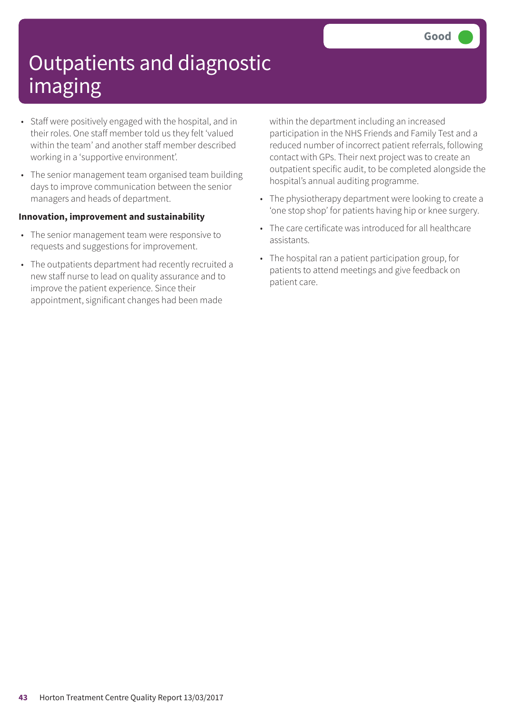- Staff were positively engaged with the hospital, and in their roles. One staff member told us they felt 'valued within the team' and another staff member described working in a 'supportive environment'.
- The senior management team organised team building days to improve communication between the senior managers and heads of department.

#### **Innovation, improvement and sustainability**

- The senior management team were responsive to requests and suggestions for improvement.
- The outpatients department had recently recruited a new staff nurse to lead on quality assurance and to improve the patient experience. Since their appointment, significant changes had been made

within the department including an increased participation in the NHS Friends and Family Test and a reduced number of incorrect patient referrals, following contact with GPs. Their next project was to create an outpatient specific audit, to be completed alongside the hospital's annual auditing programme.

- The physiotherapy department were looking to create a 'one stop shop' for patients having hip or knee surgery.
- The care certificate was introduced for all healthcare assistants.
- The hospital ran a patient participation group, for patients to attend meetings and give feedback on patient care.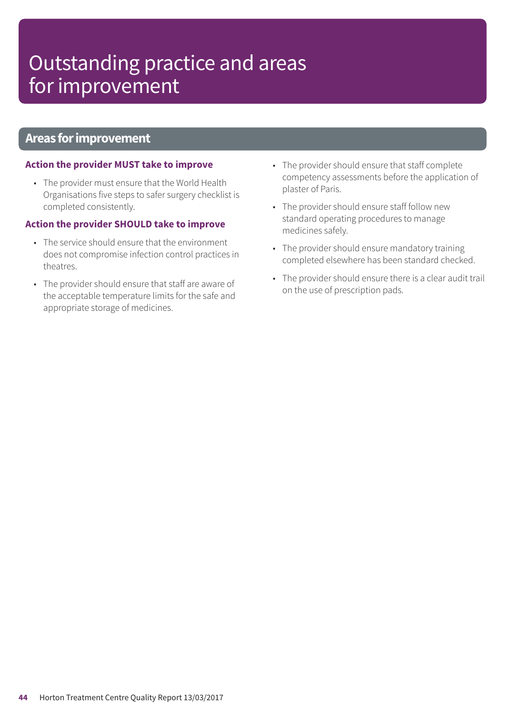### Outstanding practice and areas for improvement

### **Areas forimprovement**

#### **Action the provider MUST take to improve**

• The provider must ensure that the World Health Organisations five steps to safer surgery checklist is completed consistently.

#### **Action the provider SHOULD take to improve**

- The service should ensure that the environment does not compromise infection control practices in theatres.
- The provider should ensure that staff are aware of the acceptable temperature limits for the safe and appropriate storage of medicines.
- The provider should ensure that staff complete competency assessments before the application of plaster of Paris.
- The provider should ensure staff follow new standard operating procedures to manage medicines safely.
- The provider should ensure mandatory training completed elsewhere has been standard checked.
- The provider should ensure there is a clear audit trail on the use of prescription pads.